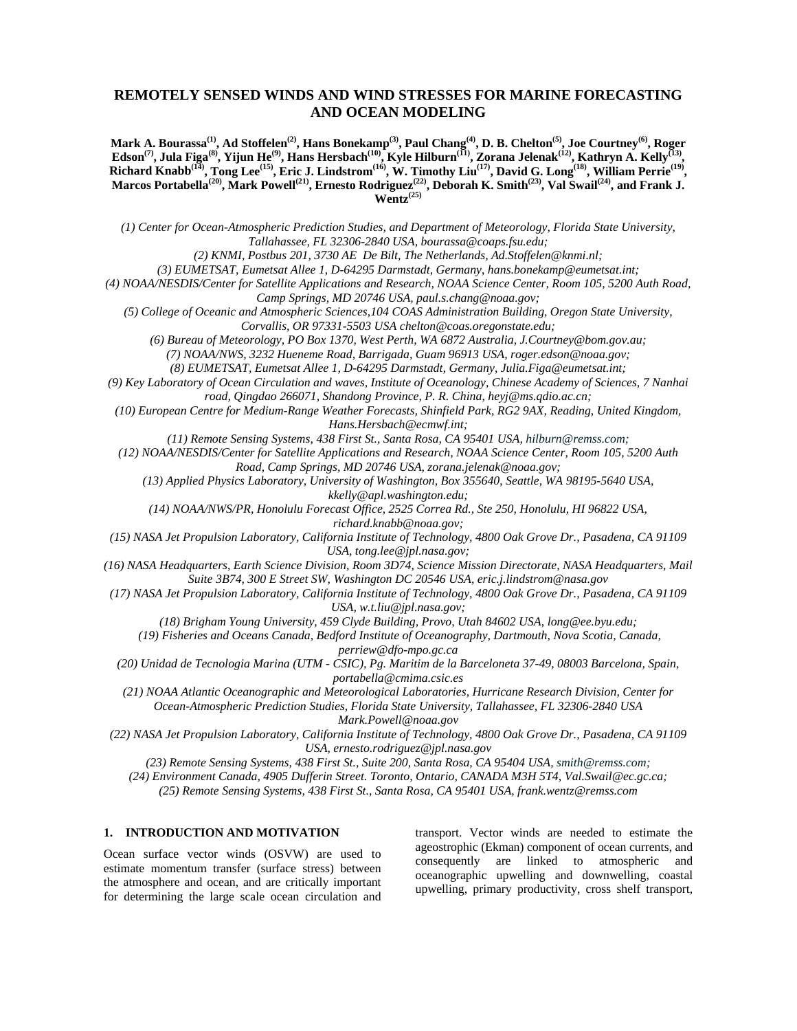# **REMOTELY SENSED WINDS AND WIND STRESSES FOR MARINE FORECASTING AND OCEAN MODELING**

**Mark A. Bourassa(1), Ad Stoffelen(2), Hans Bonekamp(3), Paul Chang(4), D. B. Chelton(5), Joe Courtney(6), Roger Edson(7), Jula Figa(8), Yijun He(9), Hans Hersbach(10), Kyle Hilburn(11), Zorana Jelenak(12), Kathryn A. Kelly(13), Richard Knabb(14), Tong Lee(15), Eric J. Lindstrom(16), W. Timothy Liu(17), David G. Long(18), William Perrie(19), Marcos Portabella(20), Mark Powell(21), Ernesto Rodriguez(22), Deborah K. Smith(23), Val Swail(24), and Frank J. Wentz(25)**

*(1) Center for Ocean-Atmospheric Prediction Studies, and Department of Meteorology, Florida State University, Tallahassee, FL 32306-2840 USA, bourassa@coaps.fsu.edu;*

*(2) KNMI, Postbus 201, 3730 AE De Bilt, The Netherlands, Ad.Stoffelen@knmi.nl;* 

*(3) EUMETSAT, Eumetsat Allee 1, D-64295 Darmstadt, Germany*, *hans.bonekamp@eumetsat.int;* 

*(4) NOAA/NESDIS/Center for Satellite Applications and Research, NOAA Science Center, Room 105, 5200 Auth Road, Camp Springs, MD 20746 USA, paul.s.chang@noaa.gov;* 

*(5) College of Oceanic and Atmospheric Sciences,104 COAS Administration Building, Oregon State University, Corvallis, OR 97331-5503 USA chelton@coas.oregonstate.edu;* 

*(6) Bureau of Meteorology, PO Box 1370, West Perth, WA 6872 Australia, J.Courtney@bom.gov.au;* 

*(7) NOAA/NWS, 3232 Hueneme Road, Barrigada, Guam 96913 USA, roger.edson@noaa.gov;* 

*(8) EUMETSAT, Eumetsat Allee 1, D-64295 Darmstadt, Germany*, *Julia.Figa@eumetsat.int;* 

*(9) Key Laboratory of Ocean Circulation and waves, Institute of Oceanology, Chinese Academy of Sciences, 7 Nanhai road, Qingdao 266071, Shandong Province, P. R. China, heyj@ms.qdio.ac.cn;* 

*(10) European Centre for Medium-Range Weather Forecasts, Shinfield Park, RG2 9AX, Reading, United Kingdom, Hans.Hersbach@ecmwf.int;* 

*(11) Remote Sensing Systems, 438 First St., Santa Rosa, CA 95401 USA, hilburn@remss.com;* 

*(12) NOAA/NESDIS/Center for Satellite Applications and Research, NOAA Science Center, Room 105, 5200 Auth Road, Camp Springs, MD 20746 USA, zorana.jelenak@noaa.gov;* 

*(13) Applied Physics Laboratory, University of Washington, Box 355640, Seattle, WA 98195-5640 USA, kkelly@apl.washington.edu;* 

*(14) NOAA/NWS/PR, Honolulu Forecast Office, 2525 Correa Rd., Ste 250, Honolulu, HI 96822 USA, richard.knabb@noaa.gov;* 

*(15) NASA Jet Propulsion Laboratory, California Institute of Technology, 4800 Oak Grove Dr., Pasadena, CA 91109 USA, tong.lee@jpl.nasa.gov;* 

*(16) NASA Headquarters, Earth Science Division, Room 3D74, Science Mission Directorate, NASA Headquarters, Mail Suite 3B74, 300 E Street SW, Washington DC 20546 USA, eric.j.lindstrom@nasa.gov* 

*(17) NASA Jet Propulsion Laboratory, California Institute of Technology, 4800 Oak Grove Dr., Pasadena, CA 91109 USA, w.t.liu@jpl.nasa.gov;* 

*(18) Brigham Young University, 459 Clyde Building, Provo, Utah 84602 USA, long@ee.byu.edu;* 

 *(19) Fisheries and Oceans Canada, Bedford Institute of Oceanography, Dartmouth, Nova Scotia, Canada, perriew@dfo-mpo.gc.ca* 

*(20) Unidad de Tecnologia Marina (UTM - CSIC), Pg. Maritim de la Barceloneta 37-49, 08003 Barcelona, Spain, portabella@cmima.csic.es* 

*(21) NOAA Atlantic Oceanographic and Meteorological Laboratories, Hurricane Research Division, Center for Ocean-Atmospheric Prediction Studies, Florida State University, Tallahassee, FL 32306-2840 USA* 

*Mark.Powell@noaa.gov* 

*(22) NASA Jet Propulsion Laboratory, California Institute of Technology, 4800 Oak Grove Dr., Pasadena, CA 91109 USA, ernesto.rodriguez@jpl.nasa.gov* 

*(23) Remote Sensing Systems, 438 First St., Suite 200, Santa Rosa, CA 95404 USA, smith@remss.com;*

*(24) Environment Canada, 4905 Dufferin Street. Toronto, Ontario, CANADA M3H 5T4, Val.Swail@ec.gc.ca;* 

*(25) Remote Sensing Systems, 438 First St., Santa Rosa, CA 95401 USA, frank.wentz@remss.com*

# **1. INTRODUCTION AND MOTIVATION**

Ocean surface vector winds (OSVW) are used to estimate momentum transfer (surface stress) between the atmosphere and ocean, and are critically important for determining the large scale ocean circulation and transport. Vector winds are needed to estimate the ageostrophic (Ekman) component of ocean currents, and consequently are linked to atmospheric and oceanographic upwelling and downwelling, coastal upwelling, primary productivity, cross shelf transport,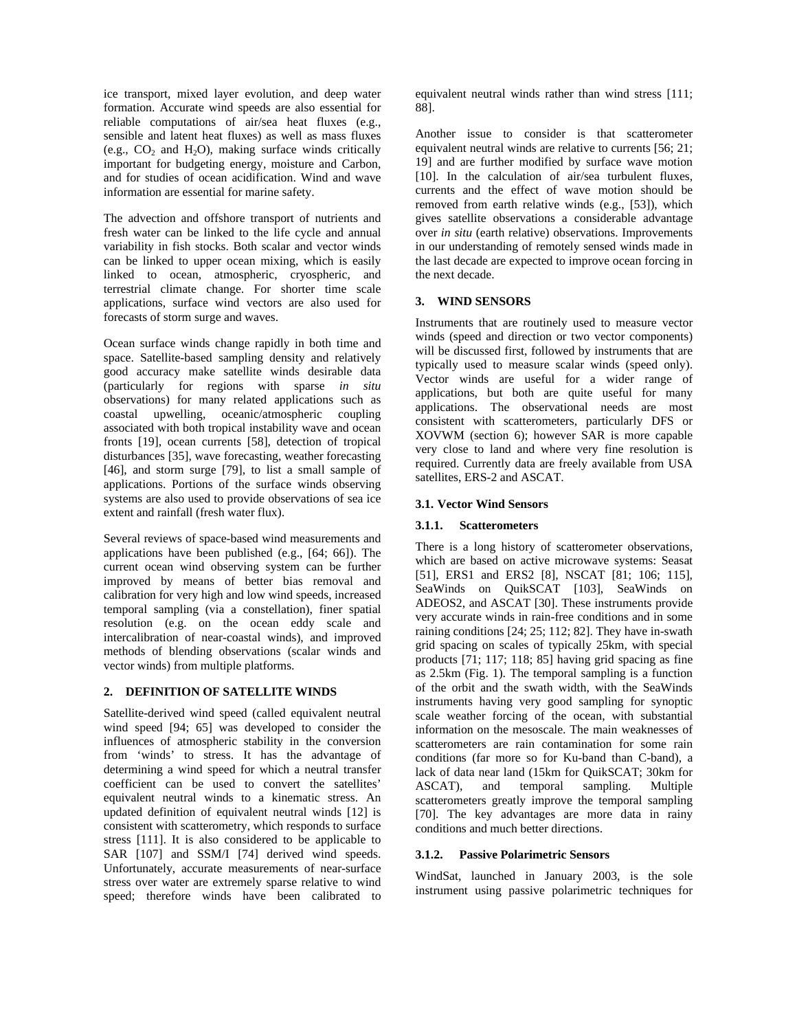ice transport, mixed layer evolution, and deep water formation. Accurate wind speeds are also essential for reliable computations of air/sea heat fluxes (e.g., sensible and latent heat fluxes) as well as mass fluxes (e.g.,  $CO_2$  and  $H_2O$ ), making surface winds critically important for budgeting energy, moisture and Carbon, and for studies of ocean acidification. Wind and wave information are essential for marine safety.

The advection and offshore transport of nutrients and fresh water can be linked to the life cycle and annual variability in fish stocks. Both scalar and vector winds can be linked to upper ocean mixing, which is easily linked to ocean, atmospheric, cryospheric, and terrestrial climate change. For shorter time scale applications, surface wind vectors are also used for forecasts of storm surge and waves.

Ocean surface winds change rapidly in both time and space. Satellite-based sampling density and relatively good accuracy make satellite winds desirable data (particularly for regions with sparse *in situ* observations) for many related applications such as coastal upwelling, oceanic/atmospheric coupling associated with both tropical instability wave and ocean fronts [19], ocean currents [58], detection of tropical disturbances [35], wave forecasting, weather forecasting [46], and storm surge [79], to list a small sample of applications. Portions of the surface winds observing systems are also used to provide observations of sea ice extent and rainfall (fresh water flux).

Several reviews of space-based wind measurements and applications have been published (e.g., [64; 66]). The current ocean wind observing system can be further improved by means of better bias removal and calibration for very high and low wind speeds, increased temporal sampling (via a constellation), finer spatial resolution (e.g. on the ocean eddy scale and intercalibration of near-coastal winds), and improved methods of blending observations (scalar winds and vector winds) from multiple platforms.

### **2. DEFINITION OF SATELLITE WINDS**

Satellite-derived wind speed (called equivalent neutral wind speed [94; 65] was developed to consider the influences of atmospheric stability in the conversion from 'winds' to stress. It has the advantage of determining a wind speed for which a neutral transfer coefficient can be used to convert the satellites' equivalent neutral winds to a kinematic stress. An updated definition of equivalent neutral winds [12] is consistent with scatterometry, which responds to surface stress [111]. It is also considered to be applicable to SAR [107] and SSM/I [74] derived wind speeds. Unfortunately, accurate measurements of near-surface stress over water are extremely sparse relative to wind speed; therefore winds have been calibrated to equivalent neutral winds rather than wind stress [111; 88].

Another issue to consider is that scatterometer equivalent neutral winds are relative to currents [56; 21; 19] and are further modified by surface wave motion [10]. In the calculation of air/sea turbulent fluxes, currents and the effect of wave motion should be removed from earth relative winds (e.g., [53]), which gives satellite observations a considerable advantage over *in situ* (earth relative) observations. Improvements in our understanding of remotely sensed winds made in the last decade are expected to improve ocean forcing in the next decade.

# **3. WIND SENSORS**

Instruments that are routinely used to measure vector winds (speed and direction or two vector components) will be discussed first, followed by instruments that are typically used to measure scalar winds (speed only). Vector winds are useful for a wider range of applications, but both are quite useful for many applications. The observational needs are most consistent with scatterometers, particularly DFS or XOVWM (section 6); however SAR is more capable very close to land and where very fine resolution is required. Currently data are freely available from USA satellites, ERS-2 and ASCAT.

# **3.1. Vector Wind Sensors**

# **3.1.1. Scatterometers**

There is a long history of scatterometer observations, which are based on active microwave systems: Seasat [51], ERS1 and ERS2 [8], NSCAT [81; 106; 115], SeaWinds on QuikSCAT [103], SeaWinds on ADEOS2, and ASCAT [30]. These instruments provide very accurate winds in rain-free conditions and in some raining conditions [24; 25; 112; 82]. They have in-swath grid spacing on scales of typically 25km, with special products [71; 117; 118; 85] having grid spacing as fine as 2.5km (Fig. 1). The temporal sampling is a function of the orbit and the swath width, with the SeaWinds instruments having very good sampling for synoptic scale weather forcing of the ocean, with substantial information on the mesoscale. The main weaknesses of scatterometers are rain contamination for some rain conditions (far more so for Ku-band than C-band), a lack of data near land (15km for QuikSCAT; 30km for ASCAT), and temporal sampling. Multiple scatterometers greatly improve the temporal sampling [70]. The key advantages are more data in rainy conditions and much better directions.

# **3.1.2. Passive Polarimetric Sensors**

WindSat, launched in January 2003, is the sole instrument using passive polarimetric techniques for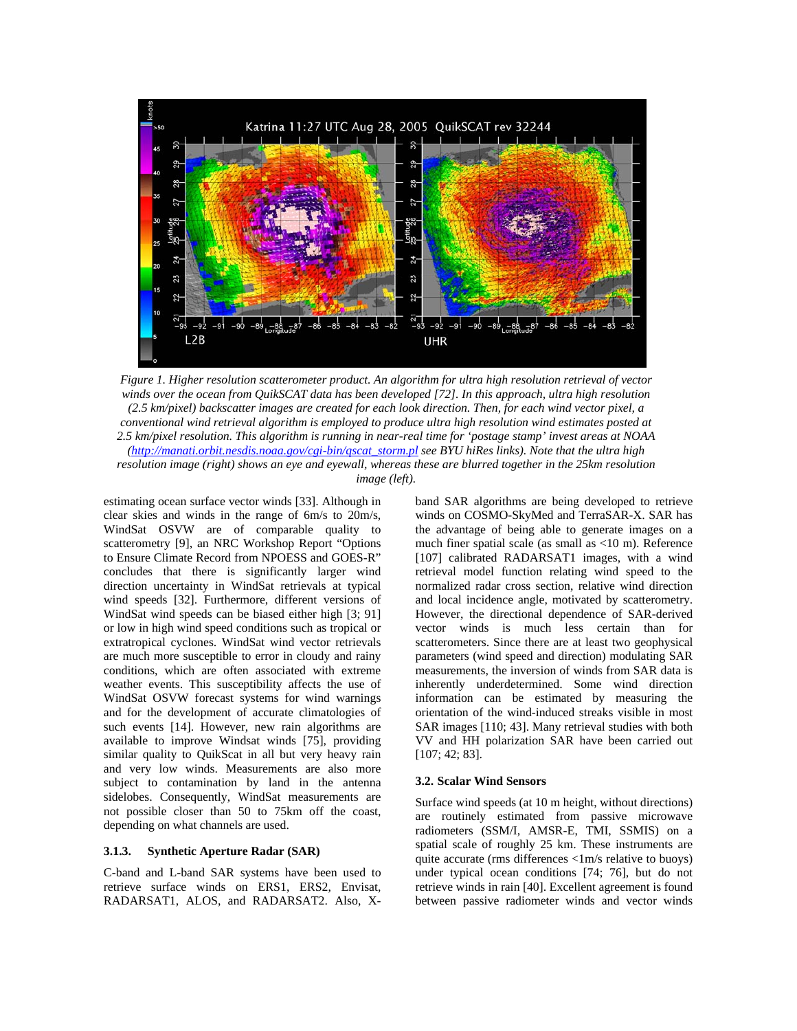

*Figure 1. Higher resolution scatterometer product. An algorithm for ultra high resolution retrieval of vector winds over the ocean from QuikSCAT data has been developed [72]. In this approach, ultra high resolution (2.5 km/pixel) backscatter images are created for each look direction. Then, for each wind vector pixel, a conventional wind retrieval algorithm is employed to produce ultra high resolution wind estimates posted at 2.5 km/pixel resolution. This algorithm is running in near-real time for 'postage stamp' invest areas at NOAA (http://manati.orbit.nesdis.noaa.gov/cgi-bin/qscat\_storm.pl see BYU hiRes links). Note that the ultra high resolution image (right) shows an eye and eyewall, whereas these are blurred together in the 25km resolution image (left).*

estimating ocean surface vector winds [33]. Although in clear skies and winds in the range of 6m/s to 20m/s, WindSat OSVW are of comparable quality to scatterometry [9], an NRC Workshop Report "Options to Ensure Climate Record from NPOESS and GOES-R" concludes that there is significantly larger wind direction uncertainty in WindSat retrievals at typical wind speeds [32]. Furthermore, different versions of WindSat wind speeds can be biased either high [3; 91] or low in high wind speed conditions such as tropical or extratropical cyclones. WindSat wind vector retrievals are much more susceptible to error in cloudy and rainy conditions, which are often associated with extreme weather events. This susceptibility affects the use of WindSat OSVW forecast systems for wind warnings and for the development of accurate climatologies of such events [14]. However, new rain algorithms are available to improve Windsat winds [75], providing similar quality to QuikScat in all but very heavy rain and very low winds. Measurements are also more subject to contamination by land in the antenna sidelobes. Consequently, WindSat measurements are not possible closer than 50 to 75km off the coast, depending on what channels are used.

#### **3.1.3. Synthetic Aperture Radar (SAR)**

C-band and L-band SAR systems have been used to retrieve surface winds on ERS1, ERS2, Envisat, RADARSAT1, ALOS, and RADARSAT2. Also, X-

band SAR algorithms are being developed to retrieve winds on COSMO-SkyMed and TerraSAR-X. SAR has the advantage of being able to generate images on a much finer spatial scale (as small as <10 m). Reference [107] calibrated RADARSAT1 images, with a wind retrieval model function relating wind speed to the normalized radar cross section, relative wind direction and local incidence angle, motivated by scatterometry. However, the directional dependence of SAR-derived vector winds is much less certain than for scatterometers. Since there are at least two geophysical parameters (wind speed and direction) modulating SAR measurements, the inversion of winds from SAR data is inherently underdetermined. Some wind direction information can be estimated by measuring the orientation of the wind-induced streaks visible in most SAR images [110; 43]. Many retrieval studies with both VV and HH polarization SAR have been carried out [107; 42; 83].

### **3.2. Scalar Wind Sensors**

Surface wind speeds (at 10 m height, without directions) are routinely estimated from passive microwave radiometers (SSM/I, AMSR-E, TMI, SSMIS) on a spatial scale of roughly 25 km. These instruments are quite accurate (rms differences <1m/s relative to buoys) under typical ocean conditions [74; 76], but do not retrieve winds in rain [40]. Excellent agreement is found between passive radiometer winds and vector winds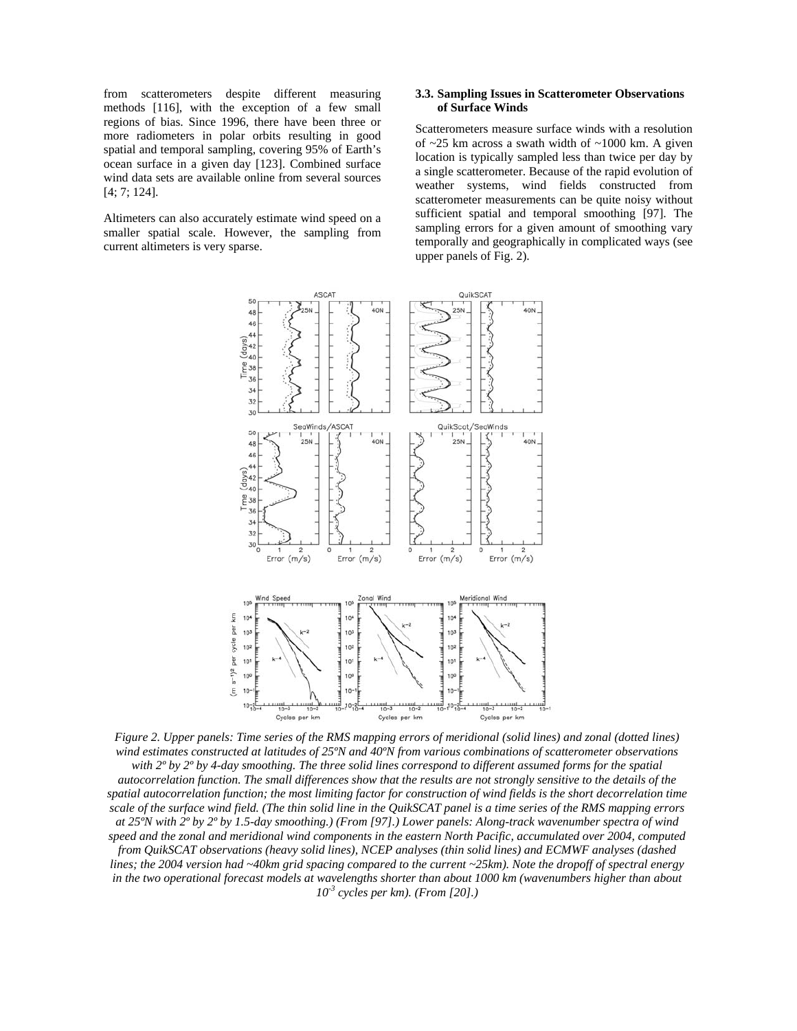from scatterometers despite different measuring methods [116], with the exception of a few small regions of bias. Since 1996, there have been three or more radiometers in polar orbits resulting in good spatial and temporal sampling, covering 95% of Earth's ocean surface in a given day [123]. Combined surface wind data sets are available online from several sources [4; 7; 124].

Altimeters can also accurately estimate wind speed on a smaller spatial scale. However, the sampling from current altimeters is very sparse.

## **3.3. Sampling Issues in Scatterometer Observations of Surface Winds**

Scatterometers measure surface winds with a resolution of  $\sim$ 25 km across a swath width of  $\sim$ 1000 km. A given location is typically sampled less than twice per day by a single scatterometer. Because of the rapid evolution of weather systems, wind fields constructed from scatterometer measurements can be quite noisy without sufficient spatial and temporal smoothing [97]. The sampling errors for a given amount of smoothing vary temporally and geographically in complicated ways (see upper panels of Fig. 2).



*Figure 2. Upper panels: Time series of the RMS mapping errors of meridional (solid lines) and zonal (dotted lines) wind estimates constructed at latitudes of 25ºN and 40ºN from various combinations of scatterometer observations with 2º by 2º by 4-day smoothing. The three solid lines correspond to different assumed forms for the spatial autocorrelation function. The small differences show that the results are not strongly sensitive to the details of the spatial autocorrelation function; the most limiting factor for construction of wind fields is the short decorrelation time scale of the surface wind field. (The thin solid line in the QuikSCAT panel is a time series of the RMS mapping errors at 25ºN with 2º by 2º by 1.5-day smoothing.) (From [97].) Lower panels: Along-track wavenumber spectra of wind speed and the zonal and meridional wind components in the eastern North Pacific, accumulated over 2004, computed from QuikSCAT observations (heavy solid lines), NCEP analyses (thin solid lines) and ECMWF analyses (dashed lines; the 2004 version had ~40km grid spacing compared to the current ~25km). Note the dropoff of spectral energy*  in the two operational forecast models at wavelengths shorter than about 1000 km (wavenumbers higher than about *10-3 cycles per km). (From [20].)*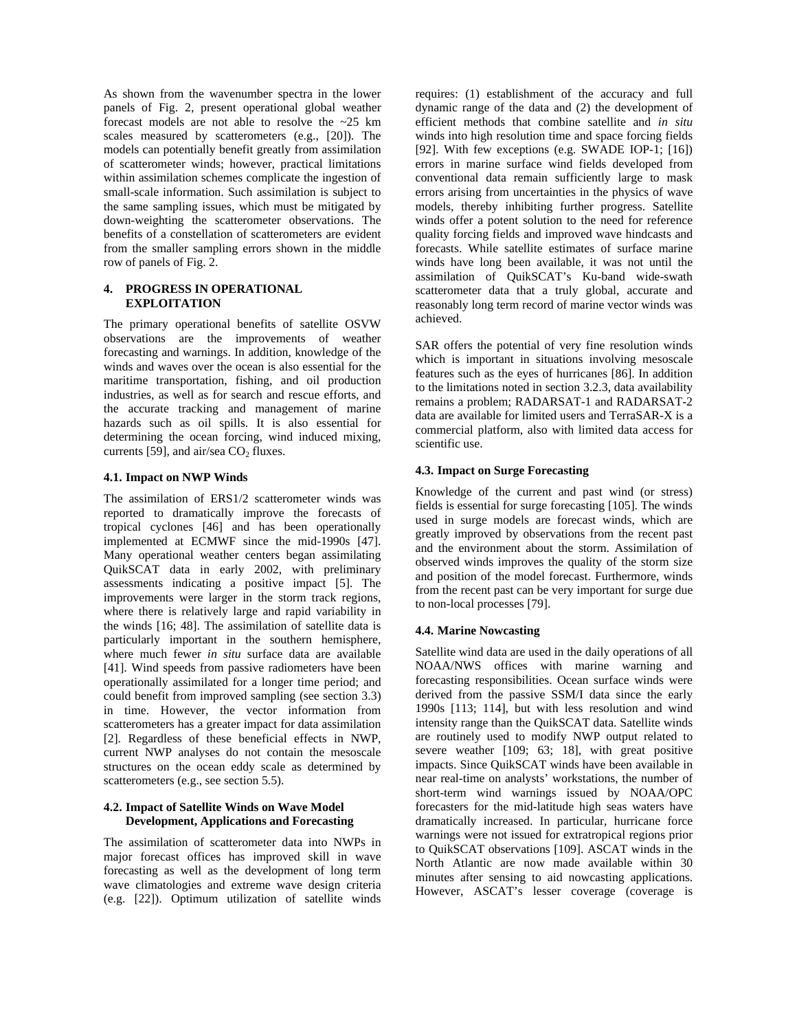As shown from the wavenumber spectra in the lower panels of Fig. 2, present operational global weather forecast models are not able to resolve the ~25 km scales measured by scatterometers (e.g., [20]). The models can potentially benefit greatly from assimilation of scatterometer winds; however, practical limitations within assimilation schemes complicate the ingestion of small-scale information. Such assimilation is subject to the same sampling issues, which must be mitigated by down-weighting the scatterometer observations. The benefits of a constellation of scatterometers are evident from the smaller sampling errors shown in the middle row of panels of Fig. 2.

## **4. PROGRESS IN OPERATIONAL EXPLOITATION**

The primary operational benefits of satellite OSVW observations are the improvements of weather forecasting and warnings. In addition, knowledge of the winds and waves over the ocean is also essential for the maritime transportation, fishing, and oil production industries, as well as for search and rescue efforts, and the accurate tracking and management of marine hazards such as oil spills. It is also essential for determining the ocean forcing, wind induced mixing, currents [59], and air/sea  $CO<sub>2</sub>$  fluxes.

# **4.1. Impact on NWP Winds**

The assimilation of ERS1/2 scatterometer winds was reported to dramatically improve the forecasts of tropical cyclones [46] and has been operationally implemented at ECMWF since the mid-1990s [47]. Many operational weather centers began assimilating QuikSCAT data in early 2002, with preliminary assessments indicating a positive impact [5]. The improvements were larger in the storm track regions, where there is relatively large and rapid variability in the winds [16; 48]. The assimilation of satellite data is particularly important in the southern hemisphere, where much fewer *in situ* surface data are available [41]. Wind speeds from passive radiometers have been operationally assimilated for a longer time period; and could benefit from improved sampling (see section 3.3) in time. However, the vector information from scatterometers has a greater impact for data assimilation [2]. Regardless of these beneficial effects in NWP, current NWP analyses do not contain the mesoscale structures on the ocean eddy scale as determined by scatterometers (e.g., see section 5.5).

# **4.2. Impact of Satellite Winds on Wave Model Development, Applications and Forecasting**

The assimilation of scatterometer data into NWPs in major forecast offices has improved skill in wave forecasting as well as the development of long term wave climatologies and extreme wave design criteria (e.g. [22]). Optimum utilization of satellite winds requires: (1) establishment of the accuracy and full dynamic range of the data and (2) the development of efficient methods that combine satellite and *in situ* winds into high resolution time and space forcing fields [92]. With few exceptions (e.g. SWADE IOP-1; [16]) errors in marine surface wind fields developed from conventional data remain sufficiently large to mask errors arising from uncertainties in the physics of wave models, thereby inhibiting further progress. Satellite winds offer a potent solution to the need for reference quality forcing fields and improved wave hindcasts and forecasts. While satellite estimates of surface marine winds have long been available, it was not until the assimilation of QuikSCAT's Ku-band wide-swath scatterometer data that a truly global, accurate and reasonably long term record of marine vector winds was achieved.

SAR offers the potential of very fine resolution winds which is important in situations involving mesoscale features such as the eyes of hurricanes [86]. In addition to the limitations noted in section 3.2.3, data availability remains a problem; RADARSAT-1 and RADARSAT-2 data are available for limited users and TerraSAR-X is a commercial platform, also with limited data access for scientific use.

# **4.3. Impact on Surge Forecasting**

Knowledge of the current and past wind (or stress) fields is essential for surge forecasting [105]. The winds used in surge models are forecast winds, which are greatly improved by observations from the recent past and the environment about the storm. Assimilation of observed winds improves the quality of the storm size and position of the model forecast. Furthermore, winds from the recent past can be very important for surge due to non-local processes [79].

# **4.4. Marine Nowcasting**

Satellite wind data are used in the daily operations of all NOAA/NWS offices with marine warning and forecasting responsibilities. Ocean surface winds were derived from the passive SSM/I data since the early 1990s [113; 114], but with less resolution and wind intensity range than the QuikSCAT data. Satellite winds are routinely used to modify NWP output related to severe weather [109; 63; 18], with great positive impacts. Since QuikSCAT winds have been available in near real-time on analysts' workstations, the number of short-term wind warnings issued by NOAA/OPC forecasters for the mid-latitude high seas waters have dramatically increased. In particular, hurricane force warnings were not issued for extratropical regions prior to QuikSCAT observations [109]. ASCAT winds in the North Atlantic are now made available within 30 minutes after sensing to aid nowcasting applications. However, ASCAT's lesser coverage (coverage is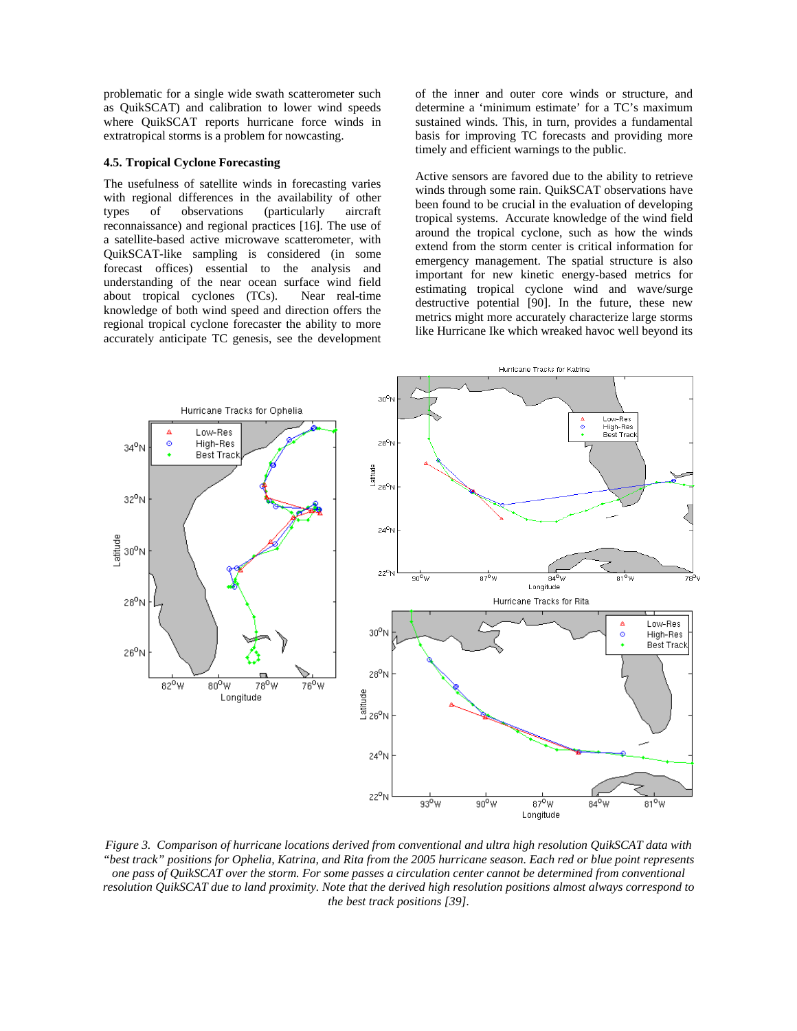problematic for a single wide swath scatterometer such as QuikSCAT) and calibration to lower wind speeds where QuikSCAT reports hurricane force winds in extratropical storms is a problem for nowcasting.

### **4.5. Tropical Cyclone Forecasting**

The usefulness of satellite winds in forecasting varies with regional differences in the availability of other types of observations (particularly aircraft reconnaissance) and regional practices [16]. The use of a satellite-based active microwave scatterometer, with QuikSCAT-like sampling is considered (in some forecast offices) essential to the analysis and understanding of the near ocean surface wind field about tropical cyclones (TCs). Near real-time knowledge of both wind speed and direction offers the regional tropical cyclone forecaster the ability to more accurately anticipate TC genesis, see the development of the inner and outer core winds or structure, and determine a 'minimum estimate' for a TC's maximum sustained winds. This, in turn, provides a fundamental basis for improving TC forecasts and providing more timely and efficient warnings to the public.

Active sensors are favored due to the ability to retrieve winds through some rain. QuikSCAT observations have been found to be crucial in the evaluation of developing tropical systems. Accurate knowledge of the wind field around the tropical cyclone, such as how the winds extend from the storm center is critical information for emergency management. The spatial structure is also important for new kinetic energy-based metrics for estimating tropical cyclone wind and wave/surge destructive potential [90]. In the future, these new metrics might more accurately characterize large storms like Hurricane Ike which wreaked havoc well beyond its



*Figure 3. Comparison of hurricane locations derived from conventional and ultra high resolution QuikSCAT data with "best track" positions for Ophelia, Katrina, and Rita from the 2005 hurricane season. Each red or blue point represents one pass of QuikSCAT over the storm. For some passes a circulation center cannot be determined from conventional resolution QuikSCAT due to land proximity. Note that the derived high resolution positions almost always correspond to the best track positions [39].*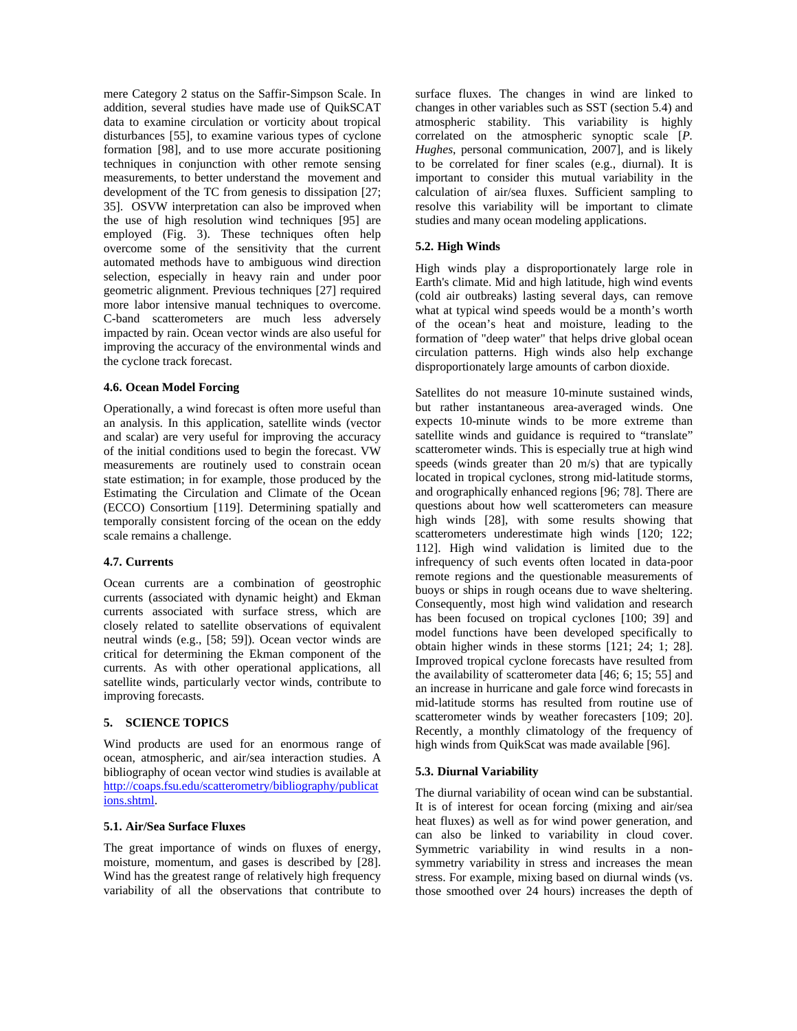mere Category 2 status on the Saffir-Simpson Scale. In addition, several studies have made use of QuikSCAT data to examine circulation or vorticity about tropical disturbances [55], to examine various types of cyclone formation [98], and to use more accurate positioning techniques in conjunction with other remote sensing measurements, to better understand the movement and development of the TC from genesis to dissipation [27; 35]. OSVW interpretation can also be improved when the use of high resolution wind techniques [95] are employed (Fig. 3). These techniques often help overcome some of the sensitivity that the current automated methods have to ambiguous wind direction selection, especially in heavy rain and under poor geometric alignment. Previous techniques [27] required more labor intensive manual techniques to overcome. C-band scatterometers are much less adversely impacted by rain. Ocean vector winds are also useful for improving the accuracy of the environmental winds and the cyclone track forecast.

### **4.6. Ocean Model Forcing**

Operationally, a wind forecast is often more useful than an analysis. In this application, satellite winds (vector and scalar) are very useful for improving the accuracy of the initial conditions used to begin the forecast. VW measurements are routinely used to constrain ocean state estimation; in for example, those produced by the Estimating the Circulation and Climate of the Ocean (ECCO) Consortium [119]. Determining spatially and temporally consistent forcing of the ocean on the eddy scale remains a challenge.

### **4.7. Currents**

Ocean currents are a combination of geostrophic currents (associated with dynamic height) and Ekman currents associated with surface stress, which are closely related to satellite observations of equivalent neutral winds (e.g., [58; 59]). Ocean vector winds are critical for determining the Ekman component of the currents. As with other operational applications, all satellite winds, particularly vector winds, contribute to improving forecasts.

## **5. SCIENCE TOPICS**

Wind products are used for an enormous range of ocean, atmospheric, and air/sea interaction studies. A bibliography of ocean vector wind studies is available at http://coaps.fsu.edu/scatterometry/bibliography/publicat ions.shtml.

# **5.1. Air/Sea Surface Fluxes**

The great importance of winds on fluxes of energy, moisture, momentum, and gases is described by [28]. Wind has the greatest range of relatively high frequency variability of all the observations that contribute to surface fluxes. The changes in wind are linked to changes in other variables such as SST (section 5.4) and atmospheric stability. This variability is highly correlated on the atmospheric synoptic scale [*P. Hughes*, personal communication, 2007], and is likely to be correlated for finer scales (e.g., diurnal). It is important to consider this mutual variability in the calculation of air/sea fluxes. Sufficient sampling to resolve this variability will be important to climate studies and many ocean modeling applications.

### **5.2. High Winds**

High winds play a disproportionately large role in Earth's climate. Mid and high latitude, high wind events (cold air outbreaks) lasting several days, can remove what at typical wind speeds would be a month's worth of the ocean's heat and moisture, leading to the formation of "deep water" that helps drive global ocean circulation patterns. High winds also help exchange disproportionately large amounts of carbon dioxide.

Satellites do not measure 10-minute sustained winds, but rather instantaneous area-averaged winds. One expects 10-minute winds to be more extreme than satellite winds and guidance is required to "translate" scatterometer winds. This is especially true at high wind speeds (winds greater than 20 m/s) that are typically located in tropical cyclones, strong mid-latitude storms, and orographically enhanced regions [96; 78]. There are questions about how well scatterometers can measure high winds [28], with some results showing that scatterometers underestimate high winds [120; 122; 112]. High wind validation is limited due to the infrequency of such events often located in data-poor remote regions and the questionable measurements of buoys or ships in rough oceans due to wave sheltering. Consequently, most high wind validation and research has been focused on tropical cyclones [100; 39] and model functions have been developed specifically to obtain higher winds in these storms [121; 24; 1; 28]. Improved tropical cyclone forecasts have resulted from the availability of scatterometer data [46; 6; 15; 55] and an increase in hurricane and gale force wind forecasts in mid-latitude storms has resulted from routine use of scatterometer winds by weather forecasters [109; 20]. Recently, a monthly climatology of the frequency of high winds from QuikScat was made available [96].

#### **5.3. Diurnal Variability**

The diurnal variability of ocean wind can be substantial. It is of interest for ocean forcing (mixing and air/sea heat fluxes) as well as for wind power generation, and can also be linked to variability in cloud cover. Symmetric variability in wind results in a nonsymmetry variability in stress and increases the mean stress. For example, mixing based on diurnal winds (vs. those smoothed over 24 hours) increases the depth of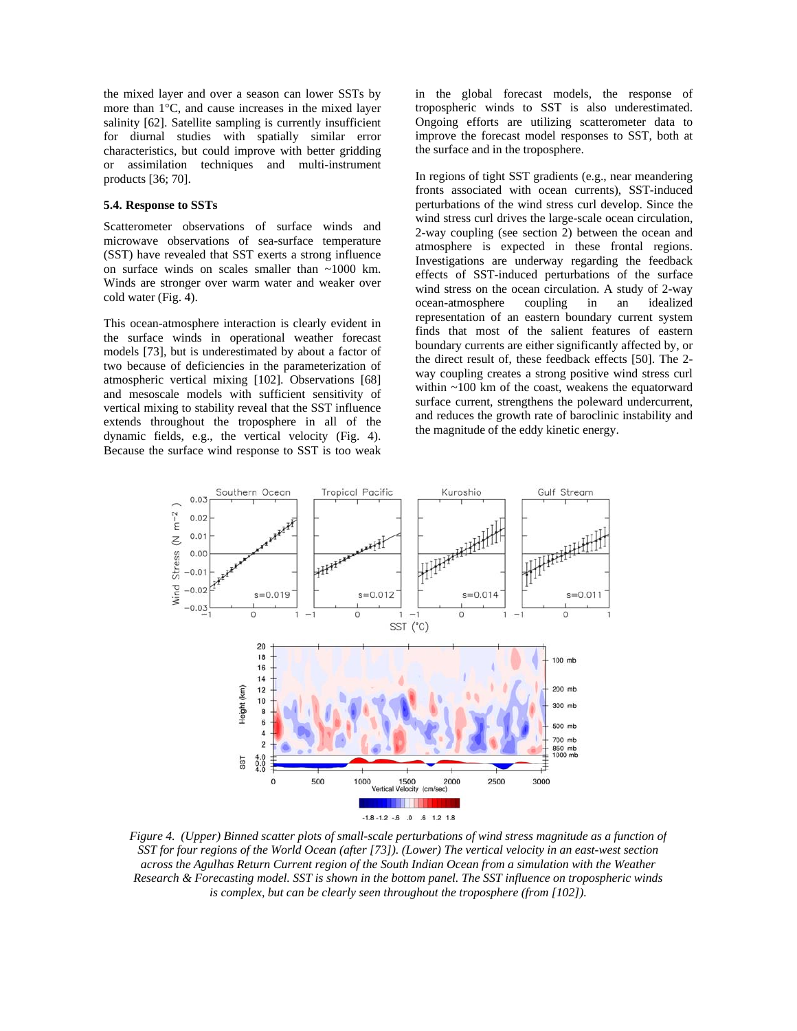the mixed layer and over a season can lower SSTs by more than  $1^{\circ}$ C, and cause increases in the mixed layer salinity [62]. Satellite sampling is currently insufficient for diurnal studies with spatially similar error characteristics, but could improve with better gridding or assimilation techniques and multi-instrument products [36; 70].

### **5.4. Response to SSTs**

Scatterometer observations of surface winds and microwave observations of sea-surface temperature (SST) have revealed that SST exerts a strong influence on surface winds on scales smaller than ~1000 km. Winds are stronger over warm water and weaker over cold water (Fig. 4).

This ocean-atmosphere interaction is clearly evident in the surface winds in operational weather forecast models [73], but is underestimated by about a factor of two because of deficiencies in the parameterization of atmospheric vertical mixing [102]. Observations [68] and mesoscale models with sufficient sensitivity of vertical mixing to stability reveal that the SST influence extends throughout the troposphere in all of the dynamic fields, e.g., the vertical velocity (Fig. 4). Because the surface wind response to SST is too weak in the global forecast models, the response of tropospheric winds to SST is also underestimated. Ongoing efforts are utilizing scatterometer data to improve the forecast model responses to SST, both at the surface and in the troposphere.

In regions of tight SST gradients (e.g., near meandering fronts associated with ocean currents), SST-induced perturbations of the wind stress curl develop. Since the wind stress curl drives the large-scale ocean circulation, 2-way coupling (see section 2) between the ocean and atmosphere is expected in these frontal regions. Investigations are underway regarding the feedback effects of SST-induced perturbations of the surface wind stress on the ocean circulation. A study of 2-way ocean-atmosphere coupling in an idealized representation of an eastern boundary current system finds that most of the salient features of eastern boundary currents are either significantly affected by, or the direct result of, these feedback effects [50]. The 2 way coupling creates a strong positive wind stress curl within ~100 km of the coast, weakens the equatorward surface current, strengthens the poleward undercurrent, and reduces the growth rate of baroclinic instability and the magnitude of the eddy kinetic energy.



*Figure 4. (Upper) Binned scatter plots of small-scale perturbations of wind stress magnitude as a function of SST for four regions of the World Ocean (after [73]). (Lower) The vertical velocity in an east-west section across the Agulhas Return Current region of the South Indian Ocean from a simulation with the Weather Research & Forecasting model. SST is shown in the bottom panel. The SST influence on tropospheric winds is complex, but can be clearly seen throughout the troposphere (from [102]).*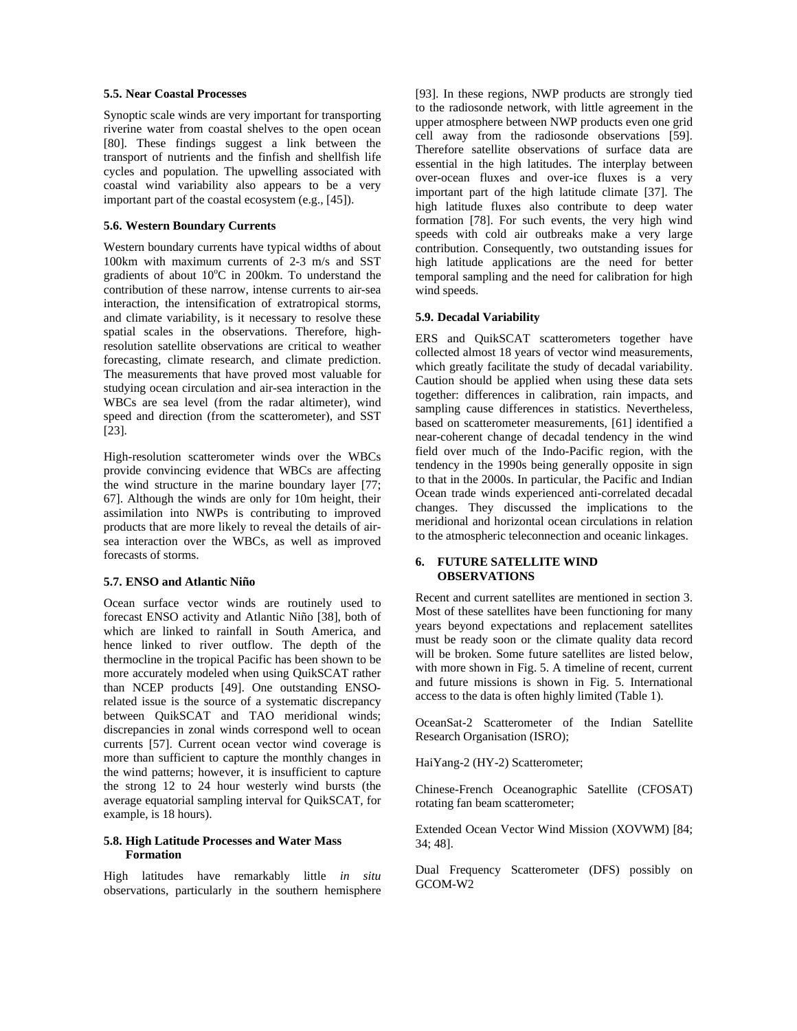### **5.5. Near Coastal Processes**

Synoptic scale winds are very important for transporting riverine water from coastal shelves to the open ocean [80]. These findings suggest a link between the transport of nutrients and the finfish and shellfish life cycles and population. The upwelling associated with coastal wind variability also appears to be a very important part of the coastal ecosystem (e.g., [45]).

# **5.6. Western Boundary Currents**

Western boundary currents have typical widths of about 100km with maximum currents of 2-3 m/s and SST gradients of about  $10^{\circ}$ C in 200km. To understand the contribution of these narrow, intense currents to air-sea interaction, the intensification of extratropical storms, and climate variability, is it necessary to resolve these spatial scales in the observations. Therefore, highresolution satellite observations are critical to weather forecasting, climate research, and climate prediction. The measurements that have proved most valuable for studying ocean circulation and air-sea interaction in the WBCs are sea level (from the radar altimeter), wind speed and direction (from the scatterometer), and SST [23].

High-resolution scatterometer winds over the WBCs provide convincing evidence that WBCs are affecting the wind structure in the marine boundary layer [77; 67]. Although the winds are only for 10m height, their assimilation into NWPs is contributing to improved products that are more likely to reveal the details of airsea interaction over the WBCs, as well as improved forecasts of storms.

# **5.7. ENSO and Atlantic Niño**

Ocean surface vector winds are routinely used to forecast ENSO activity and Atlantic Niño [38], both of which are linked to rainfall in South America, and hence linked to river outflow. The depth of the thermocline in the tropical Pacific has been shown to be more accurately modeled when using QuikSCAT rather than NCEP products [49]. One outstanding ENSOrelated issue is the source of a systematic discrepancy between QuikSCAT and TAO meridional winds; discrepancies in zonal winds correspond well to ocean currents [57]. Current ocean vector wind coverage is more than sufficient to capture the monthly changes in the wind patterns; however, it is insufficient to capture the strong 12 to 24 hour westerly wind bursts (the average equatorial sampling interval for QuikSCAT, for example, is 18 hours).

### **5.8. High Latitude Processes and Water Mass Formation**

High latitudes have remarkably little *in situ* observations, particularly in the southern hemisphere [93]. In these regions, NWP products are strongly tied to the radiosonde network, with little agreement in the upper atmosphere between NWP products even one grid cell away from the radiosonde observations [59]. Therefore satellite observations of surface data are essential in the high latitudes. The interplay between over-ocean fluxes and over-ice fluxes is a very important part of the high latitude climate [37]. The high latitude fluxes also contribute to deep water formation [78]. For such events, the very high wind speeds with cold air outbreaks make a very large contribution. Consequently, two outstanding issues for high latitude applications are the need for better temporal sampling and the need for calibration for high wind speeds.

### **5.9. Decadal Variability**

ERS and QuikSCAT scatterometers together have collected almost 18 years of vector wind measurements, which greatly facilitate the study of decadal variability. Caution should be applied when using these data sets together: differences in calibration, rain impacts, and sampling cause differences in statistics. Nevertheless, based on scatterometer measurements, [61] identified a near-coherent change of decadal tendency in the wind field over much of the Indo-Pacific region, with the tendency in the 1990s being generally opposite in sign to that in the 2000s. In particular, the Pacific and Indian Ocean trade winds experienced anti-correlated decadal changes. They discussed the implications to the meridional and horizontal ocean circulations in relation to the atmospheric teleconnection and oceanic linkages.

### **6. FUTURE SATELLITE WIND OBSERVATIONS**

Recent and current satellites are mentioned in section 3. Most of these satellites have been functioning for many years beyond expectations and replacement satellites must be ready soon or the climate quality data record will be broken. Some future satellites are listed below, with more shown in Fig. 5. A timeline of recent, current and future missions is shown in Fig. 5. International access to the data is often highly limited (Table 1).

OceanSat-2 Scatterometer of the Indian Satellite Research Organisation (ISRO);

HaiYang-2 (HY-2) Scatterometer;

Chinese-French Oceanographic Satellite (CFOSAT) rotating fan beam scatterometer;

Extended Ocean Vector Wind Mission (XOVWM) [84; 34; 48].

Dual Frequency Scatterometer (DFS) possibly on GCOM-W2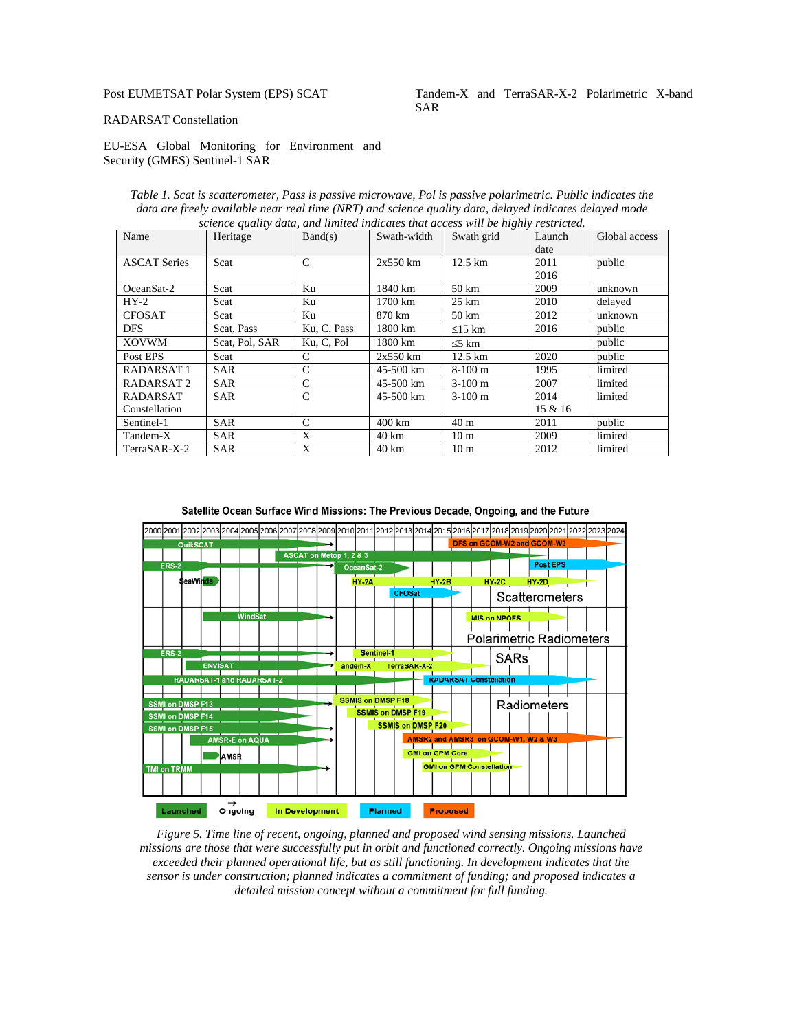# Post EUMETSAT Polar System (EPS) SCAT

### Tandem-X and TerraSAR-X-2 Polarimetric X-band SAR

### RADARSAT Constellation

EU-ESA Global Monitoring for Environment and Security (GMES) Sentinel-1 SAR

*Table 1. Scat is scatterometer, Pass is passive microwave, Pol is passive polarimetric. Public indicates the data are freely available near real time (NRT) and science quality data, delayed indicates delayed mode science quality data, and limited indicates that access will be highly restricted.* 

| Name                  | Heritage       | Band(s)       | Swath-width       | Swath grid        | Launch<br>date | Global access |
|-----------------------|----------------|---------------|-------------------|-------------------|----------------|---------------|
| <b>ASCAT Series</b>   | Scat           | $\mathcal{C}$ | $2x550$ km        | $12.5 \text{ km}$ | 2011<br>2016   | public        |
| OceanSat-2            | Scat           | Ku            | 1840 km           | $50 \mathrm{km}$  | 2009           | unknown       |
| $HY-2$                | Scat           | Ku            | 1700 km           | $25 \text{ km}$   | 2010           | delayed       |
| <b>CFOSAT</b>         | Scat           | Ku            | 870 km            | 50 km             | 2012           | unknown       |
| <b>DFS</b>            | Scat, Pass     | Ku, C, Pass   | 1800 km           | $\leq$ 15 km      | 2016           | public        |
| <b>XOVWM</b>          | Scat. Pol. SAR | Ku, C, Pol    | 1800 km           | $\leq$ 5 km       |                | public        |
| Post EPS              | Scat           | C             | $2x550$ km        | $12.5 \text{ km}$ | 2020           | public        |
| RADARSAT <sub>1</sub> | <b>SAR</b>     | C             | 45-500 km         | $8-100$ m         | 1995           | limited       |
| RADARSAT <sub>2</sub> | <b>SAR</b>     | $\mathcal{C}$ | 45-500 km         | $3-100 \text{ m}$ | 2007           | limited       |
| RADARSAT              | <b>SAR</b>     | $\mathcal{C}$ | 45-500 km         | $3-100 \text{ m}$ | 2014           | limited       |
| Constellation         |                |               |                   |                   | 15 & 16        |               |
| Sentinel-1            | <b>SAR</b>     | C             | $400 \mathrm{km}$ | 40 <sub>m</sub>   | 2011           | public        |
| Tandem-X              | <b>SAR</b>     | X             | $40 \mathrm{km}$  | 10 <sub>m</sub>   | 2009           | limited       |
| TerraSAR-X-2          | <b>SAR</b>     | X             | $40 \mathrm{km}$  | 10 <sub>m</sub>   | 2012           | limited       |

Satellite Ocean Surface Wind Missions: The Previous Decade, Ongoing, and the Future



*Figure 5. Time line of recent, ongoing, planned and proposed wind sensing missions. Launched missions are those that were successfully put in orbit and functioned correctly. Ongoing missions have exceeded their planned operational life, but as still functioning. In development indicates that the sensor is under construction; planned indicates a commitment of funding; and proposed indicates a detailed mission concept without a commitment for full funding.*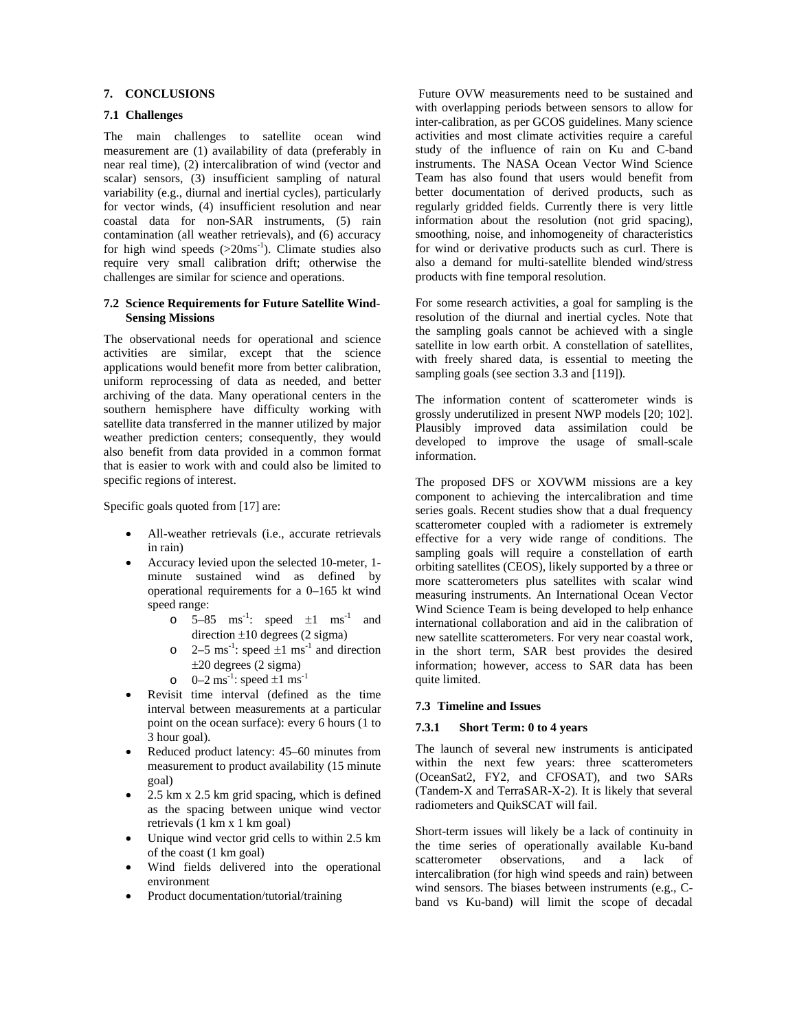# **7. CONCLUSIONS**

# **7.1 Challenges**

The main challenges to satellite ocean wind measurement are (1) availability of data (preferably in near real time), (2) intercalibration of wind (vector and scalar) sensors, (3) insufficient sampling of natural variability (e.g., diurnal and inertial cycles), particularly for vector winds, (4) insufficient resolution and near coastal data for non-SAR instruments, (5) rain contamination (all weather retrievals), and (6) accuracy for high wind speeds  $(>20\text{ms}^{-1})$ . Climate studies also require very small calibration drift; otherwise the challenges are similar for science and operations.

### **7.2 Science Requirements for Future Satellite Wind-Sensing Missions**

The observational needs for operational and science activities are similar, except that the science applications would benefit more from better calibration, uniform reprocessing of data as needed, and better archiving of the data. Many operational centers in the southern hemisphere have difficulty working with satellite data transferred in the manner utilized by major weather prediction centers; consequently, they would also benefit from data provided in a common format that is easier to work with and could also be limited to specific regions of interest.

Specific goals quoted from [17] are:

- All-weather retrievals (i.e., accurate retrievals in rain)
- Accuracy levied upon the selected 10-meter, 1 minute sustained wind as defined by operational requirements for a 0–165 kt wind speed range:
	- o  $5-85$  ms<sup>-1</sup>: speed  $\pm 1$  ms<sup>-1</sup> and direction  $\pm 10$  degrees (2 sigma)
	- $\circ$  2–5 ms<sup>-1</sup>: speed  $\pm 1$  ms<sup>-1</sup> and direction  $\pm 20$  degrees (2 sigma)
	- o  $0-2 \text{ ms}^{-1}$ : speed  $\pm 1 \text{ ms}^{-1}$
- Revisit time interval (defined as the time interval between measurements at a particular point on the ocean surface): every 6 hours (1 to 3 hour goal).
- Reduced product latency: 45–60 minutes from measurement to product availability (15 minute goal)
- 2.5 km x 2.5 km grid spacing, which is defined as the spacing between unique wind vector retrievals (1 km x 1 km goal)
- Unique wind vector grid cells to within 2.5 km of the coast (1 km goal)
- Wind fields delivered into the operational environment
- Product documentation/tutorial/training

 Future OVW measurements need to be sustained and with overlapping periods between sensors to allow for inter-calibration, as per GCOS guidelines. Many science activities and most climate activities require a careful study of the influence of rain on Ku and C-band instruments. The NASA Ocean Vector Wind Science Team has also found that users would benefit from better documentation of derived products, such as regularly gridded fields. Currently there is very little information about the resolution (not grid spacing), smoothing, noise, and inhomogeneity of characteristics for wind or derivative products such as curl. There is also a demand for multi-satellite blended wind/stress products with fine temporal resolution.

For some research activities, a goal for sampling is the resolution of the diurnal and inertial cycles. Note that the sampling goals cannot be achieved with a single satellite in low earth orbit. A constellation of satellites, with freely shared data, is essential to meeting the sampling goals (see section 3.3 and [119]).

The information content of scatterometer winds is grossly underutilized in present NWP models [20; 102]. Plausibly improved data assimilation could be developed to improve the usage of small-scale information.

The proposed DFS or XOVWM missions are a key component to achieving the intercalibration and time series goals. Recent studies show that a dual frequency scatterometer coupled with a radiometer is extremely effective for a very wide range of conditions. The sampling goals will require a constellation of earth orbiting satellites (CEOS), likely supported by a three or more scatterometers plus satellites with scalar wind measuring instruments. An International Ocean Vector Wind Science Team is being developed to help enhance international collaboration and aid in the calibration of new satellite scatterometers. For very near coastal work, in the short term, SAR best provides the desired information; however, access to SAR data has been quite limited.

### **7.3 Timeline and Issues**

### **7.3.1 Short Term: 0 to 4 years**

The launch of several new instruments is anticipated within the next few years: three scatterometers (OceanSat2, FY2, and CFOSAT), and two SARs (Tandem-X and TerraSAR-X-2). It is likely that several radiometers and QuikSCAT will fail.

Short-term issues will likely be a lack of continuity in the time series of operationally available Ku-band scatterometer observations, and a lack of intercalibration (for high wind speeds and rain) between wind sensors. The biases between instruments (e.g., Cband vs Ku-band) will limit the scope of decadal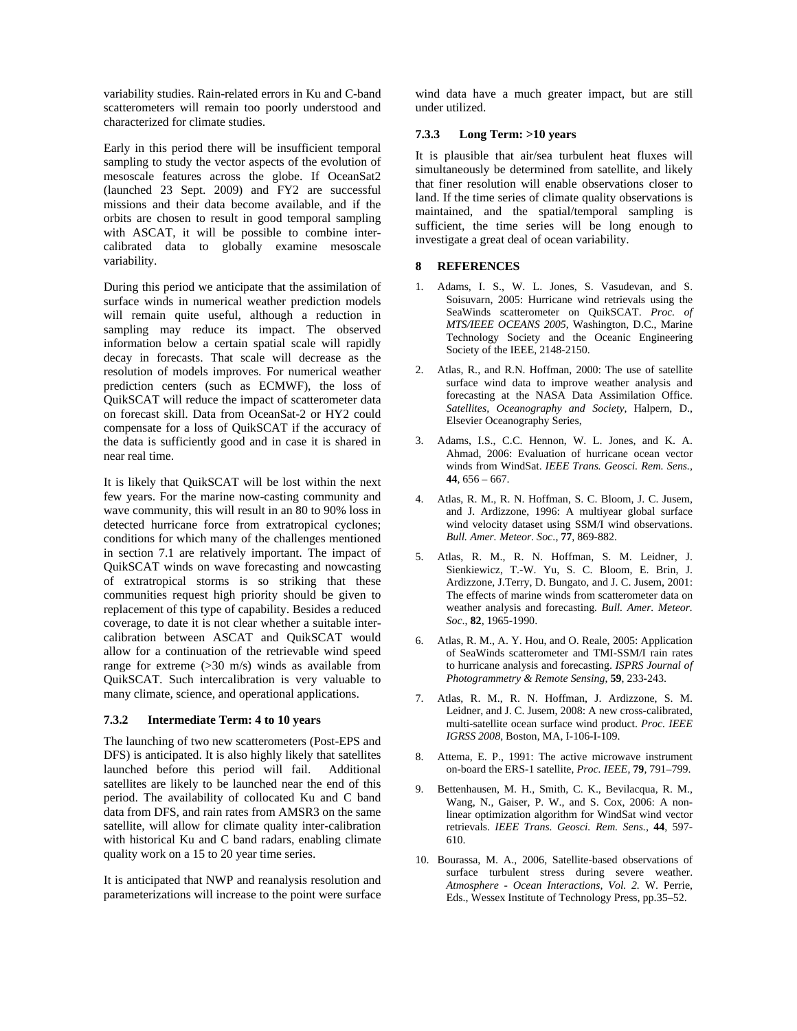variability studies. Rain-related errors in Ku and C-band scatterometers will remain too poorly understood and characterized for climate studies.

Early in this period there will be insufficient temporal sampling to study the vector aspects of the evolution of mesoscale features across the globe. If OceanSat2 (launched 23 Sept. 2009) and FY2 are successful missions and their data become available, and if the orbits are chosen to result in good temporal sampling with ASCAT, it will be possible to combine intercalibrated data to globally examine mesoscale variability.

During this period we anticipate that the assimilation of surface winds in numerical weather prediction models will remain quite useful, although a reduction in sampling may reduce its impact. The observed information below a certain spatial scale will rapidly decay in forecasts. That scale will decrease as the resolution of models improves. For numerical weather prediction centers (such as ECMWF), the loss of QuikSCAT will reduce the impact of scatterometer data on forecast skill. Data from OceanSat-2 or HY2 could compensate for a loss of QuikSCAT if the accuracy of the data is sufficiently good and in case it is shared in near real time.

It is likely that QuikSCAT will be lost within the next few years. For the marine now-casting community and wave community, this will result in an 80 to 90% loss in detected hurricane force from extratropical cyclones; conditions for which many of the challenges mentioned in section 7.1 are relatively important. The impact of QuikSCAT winds on wave forecasting and nowcasting of extratropical storms is so striking that these communities request high priority should be given to replacement of this type of capability. Besides a reduced coverage, to date it is not clear whether a suitable intercalibration between ASCAT and QuikSCAT would allow for a continuation of the retrievable wind speed range for extreme (>30 m/s) winds as available from QuikSCAT. Such intercalibration is very valuable to many climate, science, and operational applications.

### **7.3.2 Intermediate Term: 4 to 10 years**

The launching of two new scatterometers (Post-EPS and DFS) is anticipated. It is also highly likely that satellites launched before this period will fail. Additional satellites are likely to be launched near the end of this period. The availability of collocated Ku and C band data from DFS, and rain rates from AMSR3 on the same satellite, will allow for climate quality inter-calibration with historical Ku and C band radars, enabling climate quality work on a 15 to 20 year time series.

It is anticipated that NWP and reanalysis resolution and parameterizations will increase to the point were surface

wind data have a much greater impact, but are still under utilized.

#### **7.3.3 Long Term: >10 years**

It is plausible that air/sea turbulent heat fluxes will simultaneously be determined from satellite, and likely that finer resolution will enable observations closer to land. If the time series of climate quality observations is maintained, and the spatial/temporal sampling is sufficient, the time series will be long enough to investigate a great deal of ocean variability.

# **8 REFERENCES**

- 1. Adams, I. S., W. L. Jones, S. Vasudevan, and S. Soisuvarn, 2005: Hurricane wind retrievals using the SeaWinds scatterometer on QuikSCAT. *Proc. of MTS/IEEE OCEANS 2005*, Washington, D.C., Marine Technology Society and the Oceanic Engineering Society of the IEEE, 2148-2150.
- 2. Atlas, R., and R.N. Hoffman, 2000: The use of satellite surface wind data to improve weather analysis and forecasting at the NASA Data Assimilation Office. *Satellites, Oceanography and Society*, Halpern, D., Elsevier Oceanography Series,
- 3. Adams, I.S., C.C. Hennon, W. L. Jones, and K. A. Ahmad, 2006: Evaluation of hurricane ocean vector winds from WindSat. *IEEE Trans. Geosci. Rem. Sens.*, **44**, 656 – 667.
- 4. Atlas, R. M., R. N. Hoffman, S. C. Bloom, J. C. Jusem, and J. Ardizzone, 1996: A multiyear global surface wind velocity dataset using SSM/I wind observations. *Bull. Amer. Meteor. Soc*., **77**, 869-882.
- 5. Atlas, R. M., R. N. Hoffman, S. M. Leidner, J. Sienkiewicz, T.-W. Yu, S. C. Bloom, E. Brin, J. Ardizzone, J.Terry, D. Bungato, and J. C. Jusem, 2001: The effects of marine winds from scatterometer data on weather analysis and forecasting*. Bull. Amer. Meteor. Soc*., **82**, 1965-1990.
- 6. Atlas, R. M., A. Y. Hou, and O. Reale, 2005: Application of SeaWinds scatterometer and TMI-SSM/I rain rates to hurricane analysis and forecasting. *ISPRS Journal of Photogrammetry & Remote Sensing*, **59**, 233-243.
- 7. Atlas, R. M., R. N. Hoffman, J. Ardizzone, S. M. Leidner, and J. C. Jusem, 2008: A new cross-calibrated, multi-satellite ocean surface wind product. *Proc. IEEE IGRSS 2008*, Boston, MA, I-106-I-109.
- 8. Attema, E. P., 1991: The active microwave instrument on-board the ERS-1 satellite, *Proc. IEEE*, **79**, 791–799.
- 9. Bettenhausen, M. H., Smith, C. K., Bevilacqua, R. M., Wang, N., Gaiser, P. W., and S. Cox, 2006: A nonlinear optimization algorithm for WindSat wind vector retrievals. *IEEE Trans. Geosci. Rem. Sens.*, **44**, 597- 610.
- 10. Bourassa, M. A., 2006, Satellite-based observations of surface turbulent stress during severe weather. *Atmosphere - Ocean Interactions, Vol. 2.* W. Perrie, Eds., Wessex Institute of Technology Press, pp.35–52.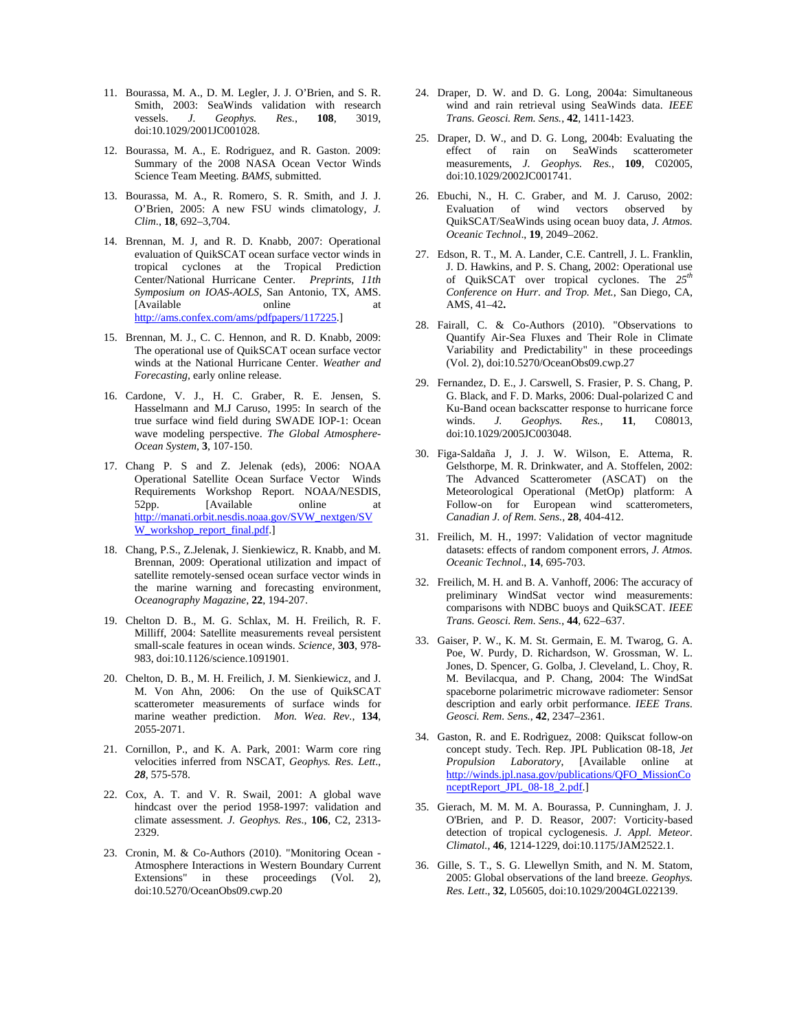- 11. Bourassa, M. A., D. M. Legler, J. J. O'Brien, and S. R. Smith, 2003: SeaWinds validation with research vessels. *J. Geophys. Res.*, **108**, 3019, doi:10.1029/2001JC001028.
- 12. Bourassa, M. A., E. Rodriguez, and R. Gaston. 2009: Summary of the 2008 NASA Ocean Vector Winds Science Team Meeting. *BAMS*, submitted.
- 13. Bourassa, M. A., R. Romero, S. R. Smith, and J. J. O'Brien, 2005: A new FSU winds climatology, *J. Clim*., **18**, 692–3,704.
- 14. Brennan, M. J, and R. D. Knabb, 2007: Operational evaluation of QuikSCAT ocean surface vector winds in tropical cyclones at the Tropical Prediction Center/National Hurricane Center. *Preprints, 11th Symposium on IOAS-AOLS*, San Antonio, TX, AMS. [Available online at http://ams.confex.com/ams/pdfpapers/117225.]
- 15. Brennan, M. J., C. C. Hennon, and R. D. Knabb, 2009: The operational use of QuikSCAT ocean surface vector winds at the National Hurricane Center. *Weather and Forecasting,* early online release.
- 16. Cardone, V. J., H. C. Graber, R. E. Jensen, S. Hasselmann and M.J Caruso, 1995: In search of the true surface wind field during SWADE IOP-1: Ocean wave modeling perspective. *The Global Atmosphere-Ocean System*, **3**, 107-150.
- 17. Chang P. S and Z. Jelenak (eds), 2006: NOAA Operational Satellite Ocean Surface Vector Winds Requirements Workshop Report. NOAA/NESDIS, 52pp. [Available online at http://manati.orbit.nesdis.noaa.gov/SVW\_nextgen/SV W\_workshop\_report\_final.pdf.]
- 18. Chang, P.S., Z.Jelenak, J. Sienkiewicz, R. Knabb, and M. Brennan, 2009: Operational utilization and impact of satellite remotely-sensed ocean surface vector winds in the marine warning and forecasting environment, *Oceanography Magazine*, **22**, 194-207.
- 19. Chelton D. B., M. G. Schlax, M. H. Freilich, R. F. Milliff, 2004: Satellite measurements reveal persistent small-scale features in ocean winds. *Science*, **303**, 978- 983, doi:10.1126/science.1091901.
- 20. Chelton, D. B., M. H. Freilich, J. M. Sienkiewicz, and J. M. Von Ahn, 2006: On the use of QuikSCAT scatterometer measurements of surface winds for marine weather prediction. *Mon. Wea. Rev.*, **134**, 2055-2071.
- 21. Cornillon, P., and K. A. Park, 2001: Warm core ring velocities inferred from NSCAT, *Geophys. Res. Lett*., *28*, 575-578.
- 22. Cox, A. T. and V. R. Swail, 2001: A global wave hindcast over the period 1958-1997: validation and climate assessment. *J. Geophys. Res.*, **106**, C2, 2313- 2329.
- 23. Cronin, M. & Co-Authors (2010). "Monitoring Ocean Atmosphere Interactions in Western Boundary Current Extensions" in these proceedings (Vol. 2), doi:10.5270/OceanObs09.cwp.20
- 24. Draper, D. W. and D. G. Long, 2004a: Simultaneous wind and rain retrieval using SeaWinds data. *IEEE Trans. Geosci. Rem. Sens.*, **42**, 1411-1423.
- 25. Draper, D. W., and D. G. Long, 2004b: Evaluating the effect of rain on SeaWinds scatterometer measurements, *J. Geophys. Res.*, **109**, C02005, doi:10.1029/2002JC001741.
- 26. Ebuchi, N., H. C. Graber, and M. J. Caruso, 2002: Evaluation of wind vectors observed by QuikSCAT/SeaWinds using ocean buoy data, *J. Atmos. Oceanic Technol*., **19**, 2049–2062.
- 27. Edson, R. T., M. A. Lander, C.E. Cantrell, J. L. Franklin, J. D. Hawkins, and P. S. Chang, 2002: Operational use of QuikSCAT over tropical cyclones. The  $25<sup>th</sup>$ *Conference on Hurr. and Trop. Met.*, San Diego, CA, AMS, 41–42**.**
- 28. Fairall, C. & Co-Authors (2010). "Observations to Quantify Air-Sea Fluxes and Their Role in Climate Variability and Predictability" in these proceedings (Vol. 2), doi:10.5270/OceanObs09.cwp.27
- 29. Fernandez, D. E., J. Carswell, S. Frasier, P. S. Chang, P. G. Black, and F. D. Marks, 2006: Dual-polarized C and Ku-Band ocean backscatter response to hurricane force winds. *J. Geophys. Res.*, **11**, C08013, doi:10.1029/2005JC003048.
- 30. Figa-Saldaña J, J. J. W. Wilson, E. Attema, R. Gelsthorpe, M. R. Drinkwater, and A. Stoffelen, 2002: The Advanced Scatterometer (ASCAT) on the Meteorological Operational (MetOp) platform: A Follow-on for European wind scatterometers, *Canadian J. of Rem. Sens.,* **28***,* 404-412.
- 31. Freilich, M. H., 1997: Validation of vector magnitude datasets: effects of random component errors, *J. Atmos. Oceanic Technol*., **14**, 695-703.
- 32. Freilich, M. H. and B. A. Vanhoff, 2006: The accuracy of preliminary WindSat vector wind measurements: comparisons with NDBC buoys and QuikSCAT. *IEEE Trans. Geosci. Rem. Sens.*, **44**, 622–637.
- 33. Gaiser, P. W., K. M. St. Germain, E. M. Twarog, G. A. Poe, W. Purdy, D. Richardson, W. Grossman, W. L. Jones, D. Spencer, G. Golba, J. Cleveland, L. Choy, R. M. Bevilacqua, and P. Chang, 2004: The WindSat spaceborne polarimetric microwave radiometer: Sensor description and early orbit performance. *IEEE Trans. Geosci. Rem. Sens.*, **42**, 2347–2361.
- 34. Gaston, R. and E. Rodrìguez, 2008: Quikscat follow-on concept study. Tech. Rep. JPL Publication 08-18, *Jet Propulsion Laboratory*, [Available online at http://winds.jpl.nasa.gov/publications/QFO\_MissionCo nceptReport\_JPL\_08-18\_2.pdf.]
- 35. Gierach, M. M. M. A. Bourassa, P. Cunningham, J. J. O'Brien, and P. D. Reasor, 2007: Vorticity-based detection of tropical cyclogenesis. *J. Appl. Meteor. Climatol.*, **46**, 1214-1229, doi:10.1175/JAM2522.1.
- 36. Gille, S. T., S. G. Llewellyn Smith, and N. M. Statom, 2005: Global observations of the land breeze. *Geophys. Res. Lett*., **32**, L05605, doi:10.1029/2004GL022139.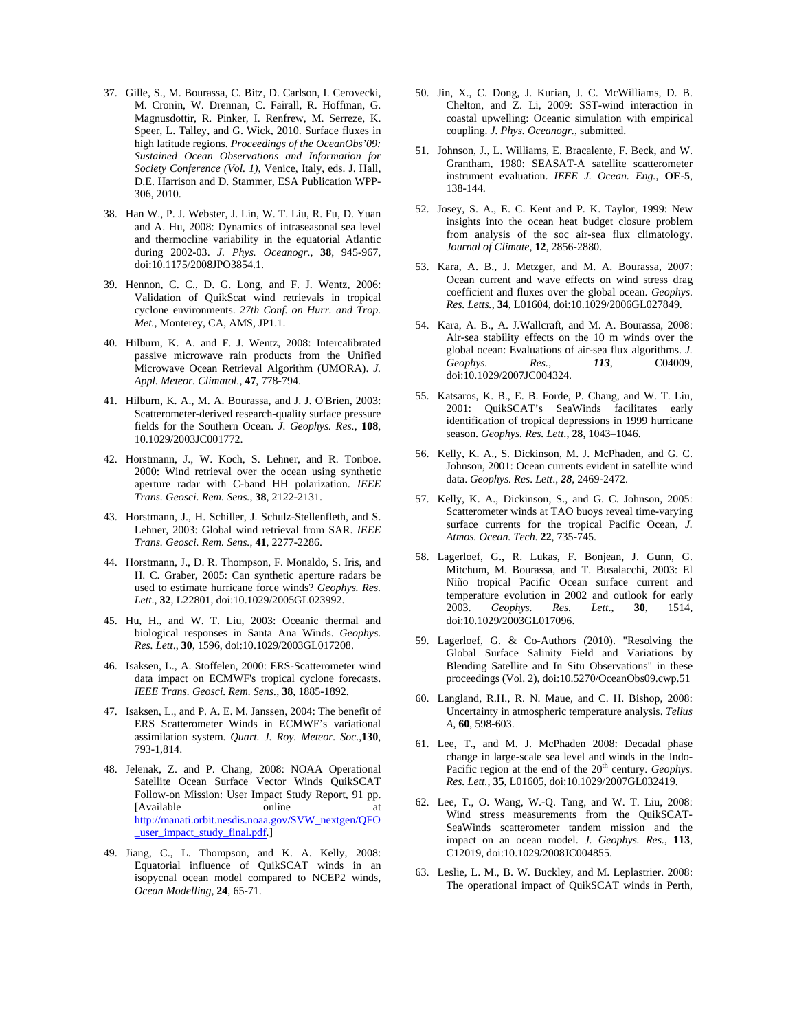- 37. Gille, S., M. Bourassa, C. Bitz, D. Carlson, I. Cerovecki, M. Cronin, W. Drennan, C. Fairall, R. Hoffman, G. Magnusdottir, R. Pinker, I. Renfrew, M. Serreze, K. Speer, L. Talley, and G. Wick, 2010. Surface fluxes in high latitude regions. *Proceedings of the OceanObs'09: Sustained Ocean Observations and Information for Society Conference (Vol. 1)*, Venice, Italy, eds. J. Hall, D.E. Harrison and D. Stammer, ESA Publication WPP-306, 2010.
- 38. Han W., P. J. Webster, J. Lin, W. T. Liu, R. Fu, D. Yuan and A. Hu, 2008: Dynamics of intraseasonal sea level and thermocline variability in the equatorial Atlantic during 2002-03. *J. Phys. Oceanogr.*, **38**, 945-967, doi:10.1175/2008JPO3854.1.
- 39. Hennon, C. C., D. G. Long, and F. J. Wentz, 2006: Validation of QuikScat wind retrievals in tropical cyclone environments. *27th Conf. on Hurr. and Trop. Met.*, Monterey, CA, AMS, JP1.1.
- 40. Hilburn, K. A. and F. J. Wentz, 2008: Intercalibrated passive microwave rain products from the Unified Microwave Ocean Retrieval Algorithm (UMORA). *J. Appl. Meteor. Climatol.*, **47**, 778-794.
- 41. Hilburn, K. A., M. A. Bourassa, and J. J. O'Brien, 2003: Scatterometer-derived research-quality surface pressure fields for the Southern Ocean. *J. Geophys. Res.*, **108**, 10.1029/2003JC001772.
- 42. Horstmann, J., W. Koch, S. Lehner, and R. Tonboe. 2000: Wind retrieval over the ocean using synthetic aperture radar with C-band HH polarization. *IEEE Trans. Geosci. Rem. Sens.*, **38**, 2122-2131.
- 43. Horstmann, J., H. Schiller, J. Schulz-Stellenfleth, and S. Lehner, 2003: Global wind retrieval from SAR. *IEEE Trans. Geosci. Rem. Sens.*, **41**, 2277-2286.
- 44. Horstmann, J., D. R. Thompson, F. Monaldo, S. Iris, and H. C. Graber, 2005: Can synthetic aperture radars be used to estimate hurricane force winds? *Geophys. Res. Lett*., **32**, L22801, doi:10.1029/2005GL023992.
- 45. Hu, H., and W. T. Liu, 2003: Oceanic thermal and biological responses in Santa Ana Winds. *Geophys. Res. Lett*., **30**, 1596, doi:10.1029/2003GL017208.
- 46. Isaksen, L., A. Stoffelen, 2000: ERS-Scatterometer wind data impact on ECMWF's tropical cyclone forecasts. *IEEE Trans. Geosci. Rem. Sens.*, **38**, 1885-1892.
- 47. Isaksen, L., and P. A. E. M. Janssen, 2004: The benefit of ERS Scatterometer Winds in ECMWF's variational assimilation system. *Quart. J. Roy. Meteor. Soc.*,**130**, 793-1,814.
- 48. Jelenak, Z. and P. Chang, 2008: NOAA Operational Satellite Ocean Surface Vector Winds QuikSCAT Follow-on Mission: User Impact Study Report, 91 pp. [Available online at http://manati.orbit.nesdis.noaa.gov/SVW\_nextgen/QFO \_user\_impact\_study\_final.pdf.]
- 49. Jiang, C., L. Thompson, and K. A. Kelly, 2008: Equatorial influence of QuikSCAT winds in an isopycnal ocean model compared to NCEP2 winds, *Ocean Modelling*, **24**, 65-71.
- 50. Jin, X., C. Dong, J. Kurian, J. C. McWilliams, D. B. Chelton, and Z. Li, 2009: SST-wind interaction in coastal upwelling: Oceanic simulation with empirical coupling. *J. Phys. Oceanogr.*, submitted.
- 51. Johnson, J., L. Williams, E. Bracalente, F. Beck, and W. Grantham, 1980: SEASAT-A satellite scatterometer instrument evaluation. *IEEE J. Ocean. Eng.*, **OE-5**, 138-144.
- 52. Josey, S. A., E. C. Kent and P. K. Taylor, 1999: New insights into the ocean heat budget closure problem from analysis of the soc air-sea flux climatology. *Journal of Climate*, **12**, 2856-2880.
- 53. Kara, A. B., J. Metzger, and M. A. Bourassa, 2007: Ocean current and wave effects on wind stress drag coefficient and fluxes over the global ocean. *Geophys. Res. Letts.*, **34**, L01604, doi:10.1029/2006GL027849.
- 54. Kara, A. B., A. J.Wallcraft, and M. A. Bourassa, 2008: Air-sea stability effects on the 10 m winds over the global ocean: Evaluations of air-sea flux algorithms. *J. Geophys. Res.*, *113*, C04009, doi:10.1029/2007JC004324.
- 55. Katsaros, K. B., E. B. Forde, P. Chang, and W. T. Liu, 2001: QuikSCAT's SeaWinds facilitates early identification of tropical depressions in 1999 hurricane season. *Geophys. Res. Lett*., **28**, 1043–1046.
- 56. Kelly, K. A., S. Dickinson, M. J. McPhaden, and G. C. Johnson, 2001: Ocean currents evident in satellite wind data. *Geophys. Res. Lett*., *28*, 2469-2472.
- 57. Kelly, K. A., Dickinson, S., and G. C. Johnson, 2005: Scatterometer winds at TAO buoys reveal time-varying surface currents for the tropical Pacific Ocean, *J. Atmos. Ocean. Tech*. **22**, 735-745.
- 58. Lagerloef, G., R. Lukas, F. Bonjean, J. Gunn, G. Mitchum, M. Bourassa, and T. Busalacchi, 2003: El Niño tropical Pacific Ocean surface current and temperature evolution in 2002 and outlook for early 2003. *Geophys. Res. Lett*., **30**, 1514, doi:10.1029/2003GL017096.
- 59. Lagerloef, G. & Co-Authors (2010). "Resolving the Global Surface Salinity Field and Variations by Blending Satellite and In Situ Observations" in these proceedings (Vol. 2), doi:10.5270/OceanObs09.cwp.51
- 60. Langland, R.H., R. N. Maue, and C. H. Bishop, 2008: Uncertainty in atmospheric temperature analysis. *Tellus A*, **60**, 598-603.
- 61. Lee, T., and M. J. McPhaden 2008: Decadal phase change in large-scale sea level and winds in the Indo-Pacific region at the end of the 20<sup>th</sup> century. *Geophys. Res. Lett.*, **35**, L01605, doi:10.1029/2007GL032419.
- 62. Lee, T., O. Wang, W.-Q. Tang, and W. T. Liu, 2008: Wind stress measurements from the QuikSCAT-SeaWinds scatterometer tandem mission and the impact on an ocean model. *J. Geophys. Res.*, **113**, C12019, doi:10.1029/2008JC004855.
- 63. Leslie, L. M., B. W. Buckley, and M. Leplastrier. 2008: The operational impact of QuikSCAT winds in Perth,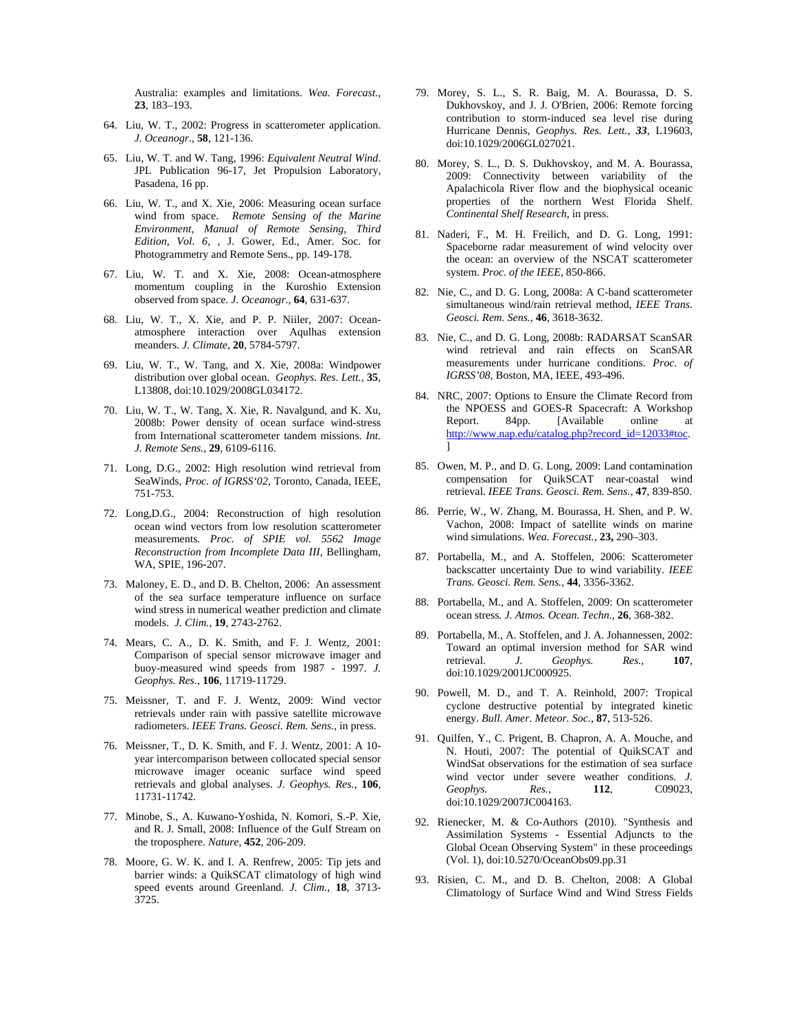Australia: examples and limitations. *Wea. Forecast.*, **23**, 183–193.

- 64. Liu, W. T., 2002: Progress in scatterometer application. *J. Oceanogr*., **58**, 121-136.
- 65. Liu, W. T. and W. Tang, 1996: *Equivalent Neutral Wind*. JPL Publication 96-17, Jet Propulsion Laboratory, Pasadena, 16 pp.
- 66. Liu, W. T., and X. Xie, 2006: Measuring ocean surface wind from space. *Remote Sensing of the Marine Environment, Manual of Remote Sensing, Third Edition, Vol. 6*, , J. Gower, Ed., Amer. Soc. for Photogrammetry and Remote Sens., pp. 149-178.
- 67. Liu, W. T. and X. Xie, 2008: Ocean-atmosphere momentum coupling in the Kuroshio Extension observed from space*. J. Oceanogr*., **64**, 631-637.
- 68. Liu, W. T., X. Xie, and P. P. Niiler, 2007: Oceanatmosphere interaction over Aqulhas extension meanders. *J. Climate*, **20**, 5784-5797.
- 69. Liu, W. T., W. Tang, and X. Xie, 2008a: Windpower distribution over global ocean. *Geophys. Res. Lett.,* **35**, L13808, doi:10.1029/2008GL034172.
- 70. Liu, W. T., W. Tang, X. Xie, R. Navalgund, and K. Xu, 2008b: Power density of ocean surface wind-stress from International scatterometer tandem missions. *Int. J. Remote Sens.*, **29**, 6109-6116.
- 71. Long, D.G., 2002: High resolution wind retrieval from SeaWinds, *Proc. of IGRSS'02*, Toronto, Canada, IEEE, 751-753.
- 72. Long,D.G., 2004: Reconstruction of high resolution ocean wind vectors from low resolution scatterometer measurements. *Proc. of SPIE vol. 5562 Image Reconstruction from Incomplete Data III*, Bellingham, WA, SPIE, 196-207.
- 73. Maloney, E. D., and D. B. Chelton, 2006: An assessment of the sea surface temperature influence on surface wind stress in numerical weather prediction and climate models. *J. Clim.*, **19**, 2743-2762.
- 74. Mears, C. A., D. K. Smith, and F. J. Wentz, 2001: Comparison of special sensor microwave imager and buoy-measured wind speeds from 1987 - 1997. *J. Geophys. Res.*, **106**, 11719-11729.
- 75. Meissner, T. and F. J. Wentz, 2009: Wind vector retrievals under rain with passive satellite microwave radiometers. *IEEE Trans. Geosci. Rem. Sens.*, in press.
- 76. Meissner, T., D. K. Smith, and F. J. Wentz, 2001: A 10 year intercomparison between collocated special sensor microwave imager oceanic surface wind speed retrievals and global analyses. *J. Geophys. Res.*, **106**, 11731-11742.
- 77. Minobe, S., A. Kuwano-Yoshida, N. Komori, S.-P. Xie, and R. J. Small, 2008: Influence of the Gulf Stream on the troposphere. *Nature*, **452**, 206-209.
- 78. Moore, G. W. K. and I. A. Renfrew, 2005: Tip jets and barrier winds: a QuikSCAT climatology of high wind speed events around Greenland. *J. Clim.*, **18**, 3713- 3725.
- 79. Morey, S. L., S. R. Baig, M. A. Bourassa, D. S. Dukhovskoy, and J. J. O'Brien, 2006: Remote forcing contribution to storm-induced sea level rise during Hurricane Dennis, *Geophys. Res. Lett.*, *33*, L19603, doi:10.1029/2006GL027021.
- 80. Morey, S. L., D. S. Dukhovskoy, and M. A. Bourassa, 2009: Connectivity between variability of the Apalachicola River flow and the biophysical oceanic properties of the northern West Florida Shelf. *Continental Shelf Research*, in press.
- 81. Naderi, F., M. H. Freilich, and D. G. Long, 1991: Spaceborne radar measurement of wind velocity over the ocean: an overview of the NSCAT scatterometer system. *Proc. of the IEEE*, 850-866.
- 82. Nie, C., and D. G. Long, 2008a: A C-band scatterometer simultaneous wind/rain retrieval method, *IEEE Trans. Geosci. Rem. Sens.*, **46**, 3618-3632.
- 83. Nie, C., and D. G. Long, 2008b: RADARSAT ScanSAR wind retrieval and rain effects on ScanSAR measurements under hurricane conditions. *Proc. of IGRSS'08*, Boston, MA, IEEE, 493-496.
- 84. NRC, 2007: Options to Ensure the Climate Record from the NPOESS and GOES-R Spacecraft: A Workshop Report. 84pp. [Available online at http://www.nap.edu/catalog.php?record\_id=12033#toc.  $\mathbf{1}$
- 85. Owen, M. P., and D. G. Long, 2009: Land contamination compensation for QuikSCAT near-coastal wind retrieval. *IEEE Trans. Geosci. Rem. Sens.*, **47**, 839-850.
- 86. Perrie, W., W. Zhang, M. Bourassa, H. Shen, and P. W. Vachon, 2008: Impact of satellite winds on marine wind simulations. *Wea. Forecast.,* **23,** 290–303.
- 87. Portabella, M., and A. Stoffelen, 2006: Scatterometer backscatter uncertainty Due to wind variability. *IEEE Trans. Geosci. Rem. Sens.*, **44**, 3356-3362.
- 88. Portabella, M., and A. Stoffelen, 2009: On scatterometer ocean stress. *J. Atmos. Ocean. Techn.,* **26**, 368-382.
- 89. Portabella, M., A. Stoffelen, and J. A. Johannessen, 2002: Toward an optimal inversion method for SAR wind retrieval. *J. Geophys. Res.,* **107***,* doi:10.1029/2001JC000925.
- 90. Powell, M. D., and T. A. Reinhold, 2007: Tropical cyclone destructive potential by integrated kinetic energy. *Bull. Amer. Meteor. Soc.*, **87**, 513-526.
- 91. Quilfen, Y., C. Prigent, B. Chapron, A. A. Mouche, and N. Houti, 2007: The potential of QuikSCAT and WindSat observations for the estimation of sea surface wind vector under severe weather conditions. *J. Geophys. Res.*, **112**, C09023, doi:10.1029/2007JC004163.
- 92. Rienecker, M. & Co-Authors (2010). "Synthesis and Assimilation Systems - Essential Adjuncts to the Global Ocean Observing System" in these proceedings (Vol. 1), doi:10.5270/OceanObs09.pp.31
- 93. Risien, C. M., and D. B. Chelton, 2008: A Global Climatology of Surface Wind and Wind Stress Fields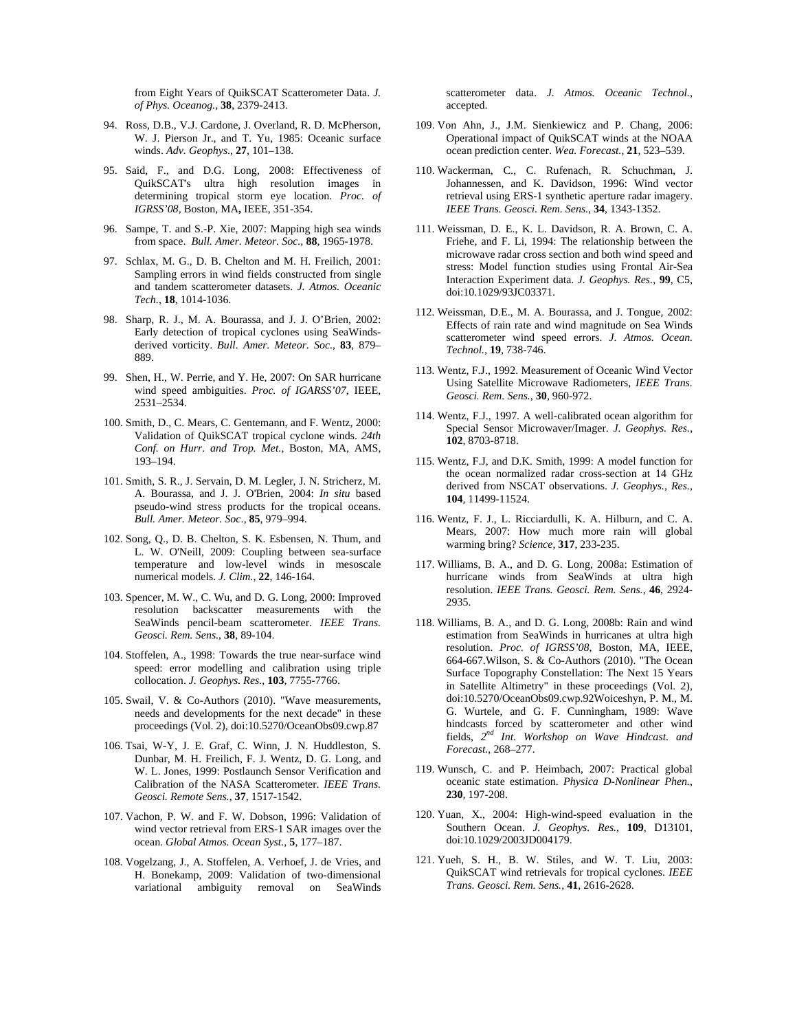from Eight Years of QuikSCAT Scatterometer Data. *J. of Phys. Oceanog.*, **38**, 2379-2413.

- 94. Ross, D.B., V.J. Cardone, J. Overland, R. D. McPherson, W. J. Pierson Jr., and T. Yu, 1985: Oceanic surface winds. *Adv. Geophys*., **27**, 101–138.
- 95. Said, F., and D.G. Long, 2008: Effectiveness of QuikSCAT's ultra high resolution images in determining tropical storm eye location. *Proc. of IGRSS'08,* Boston, MA**,** IEEE, 351-354.
- 96. Sampe, T. and S.-P. Xie, 2007: Mapping high sea winds from space. *Bull. Amer. Meteor. Soc.*, **88**, 1965-1978.
- 97. Schlax, M. G., D. B. Chelton and M. H. Freilich, 2001: Sampling errors in wind fields constructed from single and tandem scatterometer datasets. *J. Atmos. Oceanic Tech.*, **18**, 1014-1036.
- 98. Sharp, R. J., M. A. Bourassa, and J. J. O'Brien, 2002: Early detection of tropical cyclones using SeaWindsderived vorticity. *Bull. Amer. Meteor. Soc.*, **83**, 879– 889.
- 99. Shen, H., W. Perrie, and Y. He, 2007: On SAR hurricane wind speed ambiguities. *Proc. of IGARSS'07*, IEEE, 2531–2534.
- 100. Smith, D., C. Mears, C. Gentemann, and F. Wentz, 2000: Validation of QuikSCAT tropical cyclone winds. *24th Conf. on Hurr. and Trop. Met.*, Boston, MA, AMS, 193–194.
- 101. Smith, S. R., J. Servain, D. M. Legler, J. N. Stricherz, M. A. Bourassa, and J. J. O'Brien, 2004: *In situ* based pseudo-wind stress products for the tropical oceans. *Bull. Amer. Meteor. Soc*., **85**, 979–994.
- 102. Song, Q., D. B. Chelton, S. K. Esbensen, N. Thum, and L. W. O'Neill, 2009: Coupling between sea-surface temperature and low-level winds in mesoscale numerical models. *J. Clim.*, **22**, 146-164.
- 103. Spencer, M. W., C. Wu, and D. G. Long, 2000: Improved resolution backscatter measurements with the SeaWinds pencil-beam scatterometer. *IEEE Trans. Geosci. Rem. Sens.*, **38**, 89-104.
- 104. Stoffelen, A., 1998: Towards the true near-surface wind speed: error modelling and calibration using triple collocation. *J. Geophys. Res.*, **103**, 7755-7766.
- 105. Swail, V. & Co-Authors (2010). "Wave measurements, needs and developments for the next decade" in these proceedings (Vol. 2), doi:10.5270/OceanObs09.cwp.87
- 106. Tsai, W-Y, J. E. Graf, C. Winn, J. N. Huddleston, S. Dunbar, M. H. Freilich, F. J. Wentz, D. G. Long, and W. L. Jones, 1999: Postlaunch Sensor Verification and Calibration of the NASA Scatterometer. *IEEE Trans. Geosci. Remote Sens.*, **37**, 1517-1542.
- 107. Vachon, P. W. and F. W. Dobson, 1996: Validation of wind vector retrieval from ERS-1 SAR images over the ocean. *Global Atmos. Ocean Syst.,* **5**, 177–187.
- 108. Vogelzang, J., A. Stoffelen, A. Verhoef, J. de Vries, and H. Bonekamp, 2009: Validation of two-dimensional variational ambiguity removal on SeaWinds

scatterometer data. *J. Atmos. Oceanic Technol.*, accepted.

- 109. Von Ahn, J., J.M. Sienkiewicz and P. Chang, 2006: Operational impact of QuikSCAT winds at the NOAA ocean prediction center. *Wea. Forecast.*, **21**, 523–539.
- 110. Wackerman, C., C. Rufenach, R. Schuchman, J. Johannessen, and K. Davidson, 1996: Wind vector retrieval using ERS-1 synthetic aperture radar imagery. *IEEE Trans. Geosci. Rem. Sens.*, **34**, 1343-1352.
- 111. Weissman, D. E., K. L. Davidson, R. A. Brown, C. A. Friehe, and F. Li, 1994: The relationship between the microwave radar cross section and both wind speed and stress: Model function studies using Frontal Air-Sea Interaction Experiment data. *J. Geophys. Res.*, **99**, C5, doi:10.1029/93JC03371.
- 112. Weissman, D.E., M. A. Bourassa, and J. Tongue, 2002: Effects of rain rate and wind magnitude on Sea Winds scatterometer wind speed errors. *J. Atmos. Ocean. Technol.*, **19**, 738-746.
- 113. Wentz, F.J., 1992. Measurement of Oceanic Wind Vector Using Satellite Microwave Radiometers, *IEEE Trans. Geosci. Rem. Sens.*, **30**, 960-972.
- 114. Wentz, F.J., 1997. A well-calibrated ocean algorithm for Special Sensor Microwaver/Imager. *J. Geophys. Res.*, **102**, 8703-8718.
- 115. Wentz, F.J, and D.K. Smith, 1999: A model function for the ocean normalized radar cross-section at 14 GHz derived from NSCAT observations. *J. Geophys., Res.*, **104**, 11499-11524.
- 116. Wentz, F. J., L. Ricciardulli, K. A. Hilburn, and C. A. Mears, 2007: How much more rain will global warming bring? *Science*, **317**, 233-235.
- 117. Williams, B. A., and D. G. Long, 2008a: Estimation of hurricane winds from SeaWinds at ultra high resolution. *IEEE Trans. Geosci. Rem. Sens.*, **46**, 2924- 2935.
- 118. Williams, B. A., and D. G. Long, 2008b: Rain and wind estimation from SeaWinds in hurricanes at ultra high resolution. *Proc. of IGRSS'08*, Boston, MA, IEEE, 664-667.Wilson, S. & Co-Authors (2010). "The Ocean Surface Topography Constellation: The Next 15 Years in Satellite Altimetry" in these proceedings (Vol. 2), doi:10.5270/OceanObs09.cwp.92Woiceshyn, P. M., M. G. Wurtele, and G. F. Cunningham, 1989: Wave hindcasts forced by scatterometer and other wind fields, *2nd Int. Workshop on Wave Hindcast. and Forecast.*, 268–277.
- 119. Wunsch, C. and P. Heimbach, 2007: Practical global oceanic state estimation. *Physica D-Nonlinear Phen.*, **230**, 197-208.
- 120. Yuan, X., 2004: High-wind-speed evaluation in the Southern Ocean. *J. Geophys. Res.*, **109**, D13101, doi:10.1029/2003JD004179.
- 121. Yueh, S. H., B. W. Stiles, and W. T. Liu, 2003: QuikSCAT wind retrievals for tropical cyclones. *IEEE Trans. Geosci. Rem. Sens.*, **41**, 2616-2628.